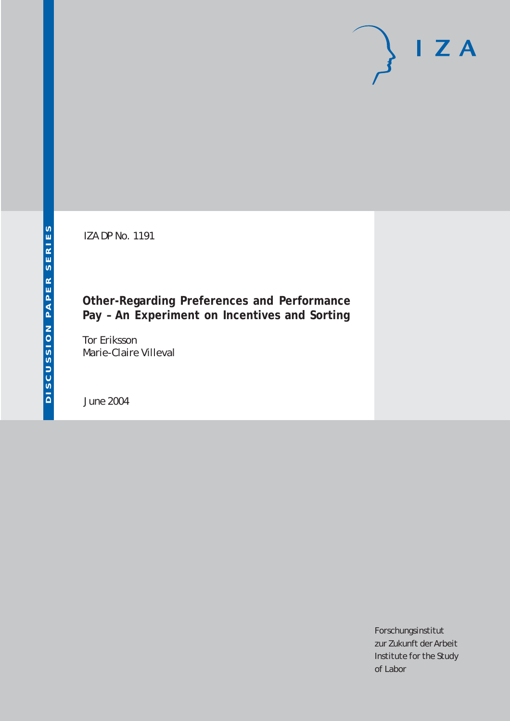IZA DP No. 1191

## **Other-Regarding Preferences and Performance Pay – An Experiment on Incentives and Sorting**

Tor Eriksson Marie-Claire Villeval

June 2004

Forschungsinstitut zur Zukunft der Arbeit Institute for the Study of Labor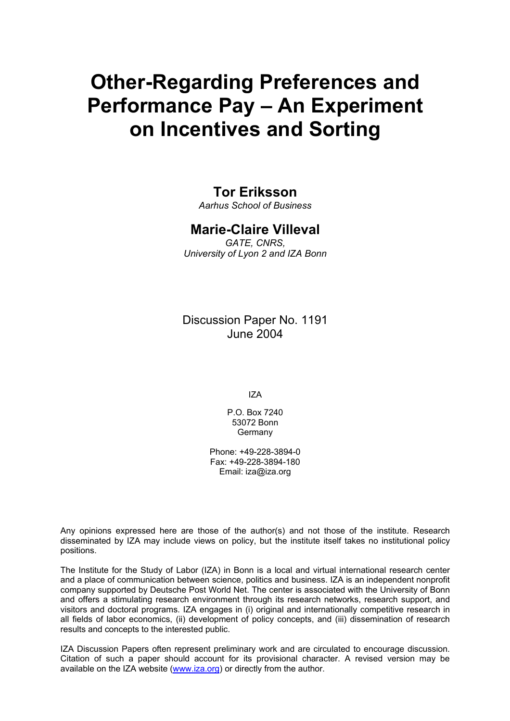# **Other-Regarding Preferences and Performance Pay – An Experiment on Incentives and Sorting**

### **Tor Eriksson**

*Aarhus School of Business* 

### **Marie-Claire Villeval**

*GATE, CNRS, University of Lyon 2 and IZA Bonn* 

Discussion Paper No. 1191 June 2004

IZA

P.O. Box 7240 53072 Bonn Germany

Phone: +49-228-3894-0 Fax: +49-228-3894-180 Email: [iza@iza.org](mailto:iza@iza.org)

Any opinions expressed here are those of the author(s) and not those of the institute. Research disseminated by IZA may include views on policy, but the institute itself takes no institutional policy positions.

The Institute for the Study of Labor (IZA) in Bonn is a local and virtual international research center and a place of communication between science, politics and business. IZA is an independent nonprofit company supported by Deutsche Post World Net. The center is associated with the University of Bonn and offers a stimulating research environment through its research networks, research support, and visitors and doctoral programs. IZA engages in (i) original and internationally competitive research in all fields of labor economics, (ii) development of policy concepts, and (iii) dissemination of research results and concepts to the interested public.

IZA Discussion Papers often represent preliminary work and are circulated to encourage discussion. Citation of such a paper should account for its provisional character. A revised version may be available on the IZA website ([www.iza.org](http://www.iza.org/)) or directly from the author.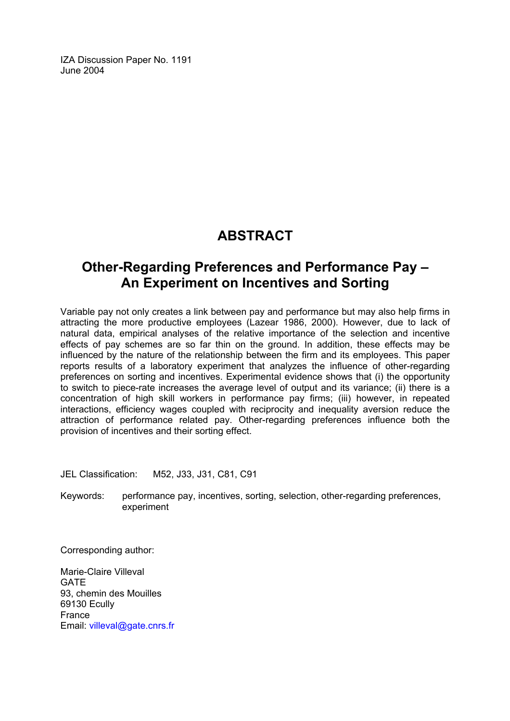IZA Discussion Paper No. 1191 June 2004

# **ABSTRACT**

# **Other-Regarding Preferences and Performance Pay – An Experiment on Incentives and Sorting**

Variable pay not only creates a link between pay and performance but may also help firms in attracting the more productive employees (Lazear 1986, 2000). However, due to lack of natural data, empirical analyses of the relative importance of the selection and incentive effects of pay schemes are so far thin on the ground. In addition, these effects may be influenced by the nature of the relationship between the firm and its employees. This paper reports results of a laboratory experiment that analyzes the influence of other-regarding preferences on sorting and incentives. Experimental evidence shows that (i) the opportunity to switch to piece-rate increases the average level of output and its variance; (ii) there is a concentration of high skill workers in performance pay firms; (iii) however, in repeated interactions, efficiency wages coupled with reciprocity and inequality aversion reduce the attraction of performance related pay. Other-regarding preferences influence both the provision of incentives and their sorting effect.

JEL Classification: M52, J33, J31, C81, C91

Keywords: performance pay, incentives, sorting, selection, other-regarding preferences, experiment

Corresponding author:

Marie-Claire Villeval **GATE** 93, chemin des Mouilles 69130 Ecully France Email: [villeval@gate.cnrs.fr](mailto:villeval@gate.cnrs.fr)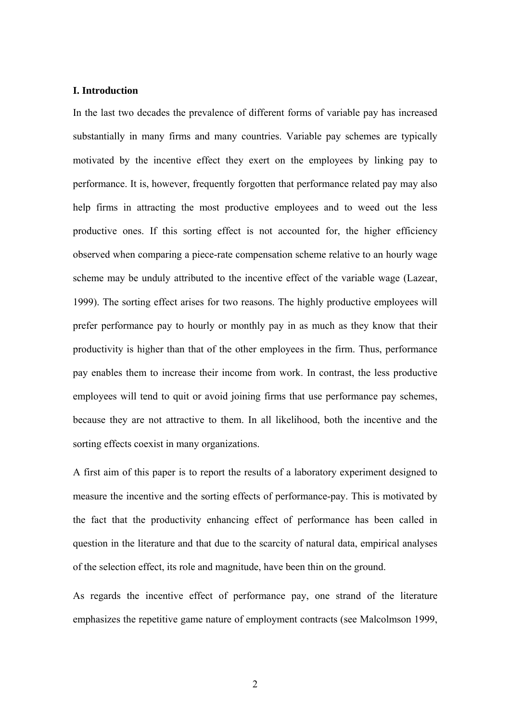#### **I. Introduction**

In the last two decades the prevalence of different forms of variable pay has increased substantially in many firms and many countries. Variable pay schemes are typically motivated by the incentive effect they exert on the employees by linking pay to performance. It is, however, frequently forgotten that performance related pay may also help firms in attracting the most productive employees and to weed out the less productive ones. If this sorting effect is not accounted for, the higher efficiency observed when comparing a piece-rate compensation scheme relative to an hourly wage scheme may be unduly attributed to the incentive effect of the variable wage (Lazear, 1999). The sorting effect arises for two reasons. The highly productive employees will prefer performance pay to hourly or monthly pay in as much as they know that their productivity is higher than that of the other employees in the firm. Thus, performance pay enables them to increase their income from work. In contrast, the less productive employees will tend to quit or avoid joining firms that use performance pay schemes, because they are not attractive to them. In all likelihood, both the incentive and the sorting effects coexist in many organizations.

A first aim of this paper is to report the results of a laboratory experiment designed to measure the incentive and the sorting effects of performance-pay. This is motivated by the fact that the productivity enhancing effect of performance has been called in question in the literature and that due to the scarcity of natural data, empirical analyses of the selection effect, its role and magnitude, have been thin on the ground.

As regards the incentive effect of performance pay, one strand of the literature emphasizes the repetitive game nature of employment contracts (see Malcolmson 1999,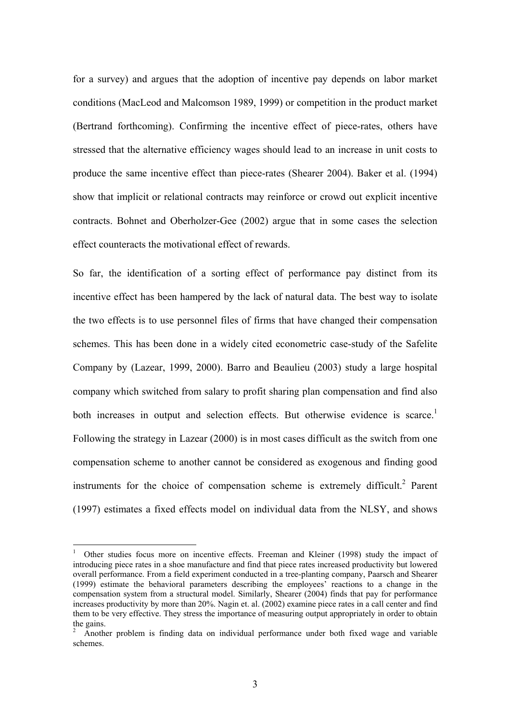for a survey) and argues that the adoption of incentive pay depends on labor market conditions (MacLeod and Malcomson 1989, 1999) or competition in the product market (Bertrand forthcoming). Confirming the incentive effect of piece-rates, others have stressed that the alternative efficiency wages should lead to an increase in unit costs to produce the same incentive effect than piece-rates (Shearer 2004). Baker et al. (1994) show that implicit or relational contracts may reinforce or crowd out explicit incentive contracts. Bohnet and Oberholzer-Gee (2002) argue that in some cases the selection effect counteracts the motivational effect of rewards.

So far, the identification of a sorting effect of performance pay distinct from its incentive effect has been hampered by the lack of natural data. The best way to isolate the two effects is to use personnel files of firms that have changed their compensation schemes. This has been done in a widely cited econometric case-study of the Safelite Company by (Lazear, 1999, 2000). Barro and Beaulieu (2003) study a large hospital company which switched from salary to profit sharing plan compensation and find also both increases in output and selection effects. But otherwise evidence is scarce.<sup>1</sup> Following the strategy in Lazear (2000) is in most cases difficult as the switch from one compensation scheme to another cannot be considered as exogenous and finding good instruments for the choice of compensation scheme is extremely difficult.<sup>2</sup> Parent (1997) estimates a fixed effects model on individual data from the NLSY, and shows

 $\overline{a}$ 

<span id="page-4-0"></span><sup>1</sup> Other studies focus more on incentive effects. Freeman and Kleiner (1998) study the impact of introducing piece rates in a shoe manufacture and find that piece rates increased productivity but lowered overall performance. From a field experiment conducted in a tree-planting company, Paarsch and Shearer (1999) estimate the behavioral parameters describing the employees' reactions to a change in the compensation system from a structural model. Similarly, Shearer (2004) finds that pay for performance increases productivity by more than 20%. Nagin et. al. (2002) examine piece rates in a call center and find them to be very effective. They stress the importance of measuring output appropriately in order to obtain the gains.

<span id="page-4-1"></span>Another problem is finding data on individual performance under both fixed wage and variable schemes.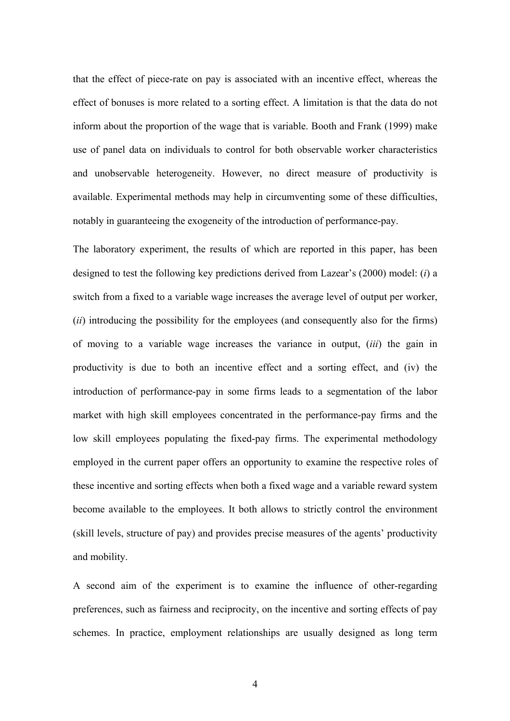that the effect of piece-rate on pay is associated with an incentive effect, whereas the effect of bonuses is more related to a sorting effect. A limitation is that the data do not inform about the proportion of the wage that is variable. Booth and Frank (1999) make use of panel data on individuals to control for both observable worker characteristics and unobservable heterogeneity. However, no direct measure of productivity is available. Experimental methods may help in circumventing some of these difficulties, notably in guaranteeing the exogeneity of the introduction of performance-pay.

The laboratory experiment, the results of which are reported in this paper, has been designed to test the following key predictions derived from Lazear's (2000) model: (*i*) a switch from a fixed to a variable wage increases the average level of output per worker, (*ii*) introducing the possibility for the employees (and consequently also for the firms) of moving to a variable wage increases the variance in output, (*iii*) the gain in productivity is due to both an incentive effect and a sorting effect, and (iv) the introduction of performance-pay in some firms leads to a segmentation of the labor market with high skill employees concentrated in the performance-pay firms and the low skill employees populating the fixed-pay firms. The experimental methodology employed in the current paper offers an opportunity to examine the respective roles of these incentive and sorting effects when both a fixed wage and a variable reward system become available to the employees. It both allows to strictly control the environment (skill levels, structure of pay) and provides precise measures of the agents' productivity and mobility.

A second aim of the experiment is to examine the influence of other-regarding preferences, such as fairness and reciprocity, on the incentive and sorting effects of pay schemes. In practice, employment relationships are usually designed as long term

4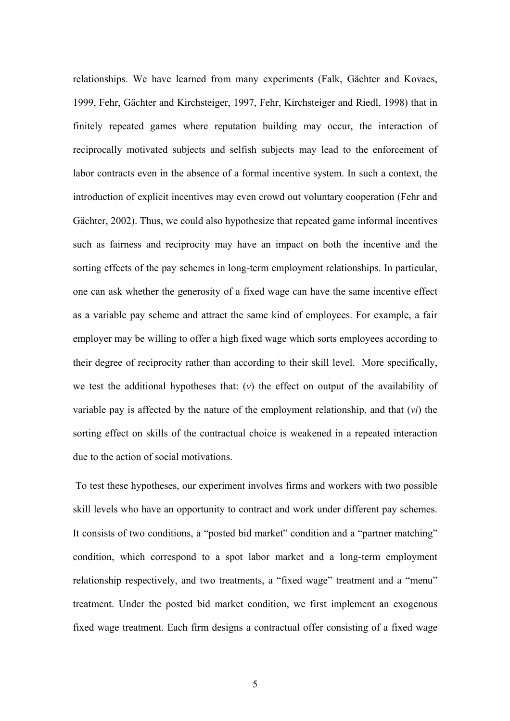relationships. We have learned from many experiments (Falk, Gächter and Kovacs, 1999, Fehr, Gächter and Kirchsteiger, 1997, Fehr, Kirchsteiger and Riedl, 1998) that in finitely repeated games where reputation building may occur, the interaction of reciprocally motivated subjects and selfish subjects may lead to the enforcement of labor contracts even in the absence of a formal incentive system. In such a context, the introduction of explicit incentives may even crowd out voluntary cooperation (Fehr and Gächter, 2002). Thus, we could also hypothesize that repeated game informal incentives such as fairness and reciprocity may have an impact on both the incentive and the sorting effects of the pay schemes in long-term employment relationships. In particular, one can ask whether the generosity of a fixed wage can have the same incentive effect as a variable pay scheme and attract the same kind of employees. For example, a fair employer may be willing to offer a high fixed wage which sorts employees according to their degree of reciprocity rather than according to their skill level. More specifically, we test the additional hypotheses that: (*v*) the effect on output of the availability of variable pay is affected by the nature of the employment relationship, and that (*vi*) the sorting effect on skills of the contractual choice is weakened in a repeated interaction due to the action of social motivations.

To test these hypotheses, our experiment involves firms and workers with two possible skill levels who have an opportunity to contract and work under different pay schemes. It consists of two conditions, a "posted bid market" condition and a "partner matching" condition, which correspond to a spot labor market and a long-term employment relationship respectively, and two treatments, a "fixed wage" treatment and a "menu" treatment. Under the posted bid market condition, we first implement an exogenous fixed wage treatment. Each firm designs a contractual offer consisting of a fixed wage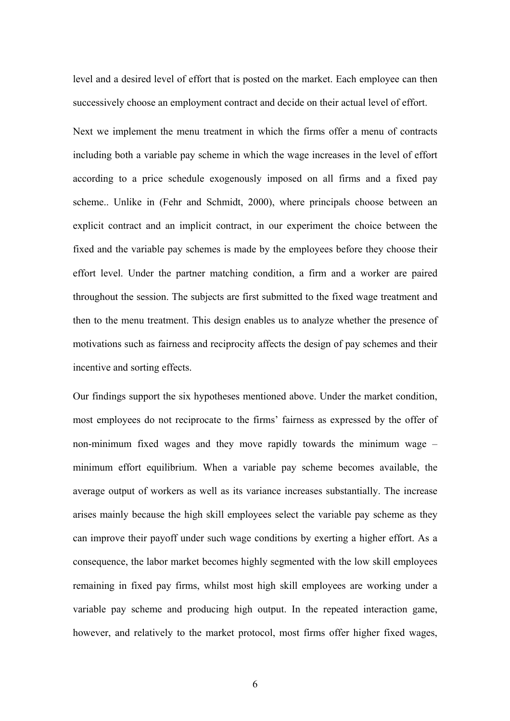level and a desired level of effort that is posted on the market. Each employee can then successively choose an employment contract and decide on their actual level of effort.

Next we implement the menu treatment in which the firms offer a menu of contracts including both a variable pay scheme in which the wage increases in the level of effort according to a price schedule exogenously imposed on all firms and a fixed pay scheme.. Unlike in (Fehr and Schmidt, 2000), where principals choose between an explicit contract and an implicit contract, in our experiment the choice between the fixed and the variable pay schemes is made by the employees before they choose their effort level. Under the partner matching condition, a firm and a worker are paired throughout the session. The subjects are first submitted to the fixed wage treatment and then to the menu treatment. This design enables us to analyze whether the presence of motivations such as fairness and reciprocity affects the design of pay schemes and their incentive and sorting effects.

Our findings support the six hypotheses mentioned above. Under the market condition, most employees do not reciprocate to the firms' fairness as expressed by the offer of non-minimum fixed wages and they move rapidly towards the minimum wage – minimum effort equilibrium. When a variable pay scheme becomes available, the average output of workers as well as its variance increases substantially. The increase arises mainly because the high skill employees select the variable pay scheme as they can improve their payoff under such wage conditions by exerting a higher effort. As a consequence, the labor market becomes highly segmented with the low skill employees remaining in fixed pay firms, whilst most high skill employees are working under a variable pay scheme and producing high output. In the repeated interaction game, however, and relatively to the market protocol, most firms offer higher fixed wages,

6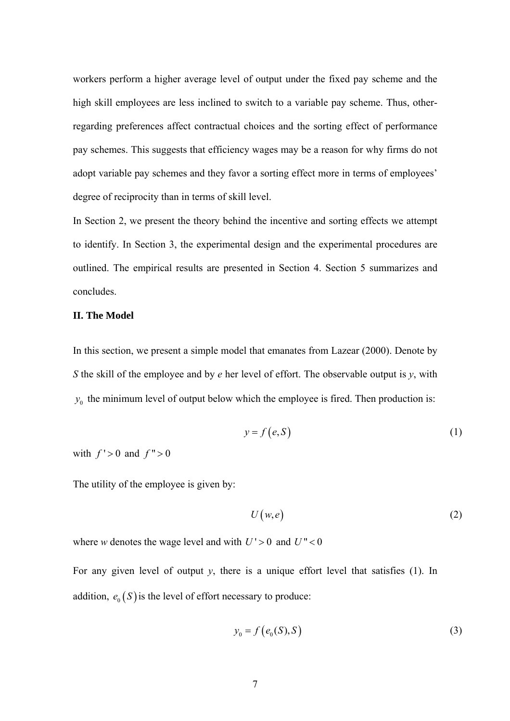workers perform a higher average level of output under the fixed pay scheme and the high skill employees are less inclined to switch to a variable pay scheme. Thus, otherregarding preferences affect contractual choices and the sorting effect of performance pay schemes. This suggests that efficiency wages may be a reason for why firms do not adopt variable pay schemes and they favor a sorting effect more in terms of employees' degree of reciprocity than in terms of skill level.

In Section 2, we present the theory behind the incentive and sorting effects we attempt to identify. In Section 3, the experimental design and the experimental procedures are outlined. The empirical results are presented in Section 4. Section 5 summarizes and concludes.

#### **II. The Model**

In this section, we present a simple model that emanates from Lazear (2000). Denote by *S* the skill of the employee and by *e* her level of effort. The observable output is *y*, with  $y_0$  the minimum level of output below which the employee is fired. Then production is:

$$
y = f(e, S) \tag{1}
$$

with  $f' > 0$  and  $f'' > 0$ 

The utility of the employee is given by:

$$
U(w,e) \tag{2}
$$

where *w* denotes the wage level and with  $U' > 0$  and  $U'' < 0$ 

For any given level of output *y*, there is a unique effort level that satisfies (1). In addition,  $e_0(S)$  is the level of effort necessary to produce:

$$
y_0 = f(e_0(S), S) \tag{3}
$$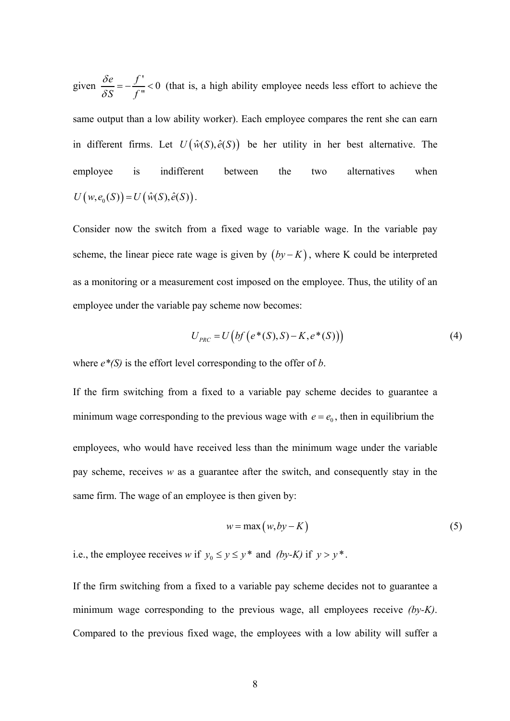given  $\frac{\delta e}{\delta S} = -\frac{f'}{f''} < 0$ *S f*  $\frac{\delta e}{\delta S} = -\frac{f'}{f''} < 0$  (that is, a high ability employee needs less effort to achieve the same output than a low ability worker). Each employee compares the rent she can earn in different firms. Let  $U(\hat{w}(S), \hat{e}(S))$  be her utility in her best alternative. The employee is indifferent between the two alternatives when  $U(w, e_0(S)) = U(\hat{w}(S), \hat{e}(S)).$ 

Consider now the switch from a fixed wage to variable wage. In the variable pay scheme, the linear piece rate wage is given by  $(by - K)$ , where K could be interpreted as a monitoring or a measurement cost imposed on the employee. Thus, the utility of an employee under the variable pay scheme now becomes:

$$
U_{PRC} = U\big(bf\big(e^*(S), S) - K, e^*(S)\big)\big) \tag{4}
$$

where *e\*(S)* is the effort level corresponding to the offer of *b*.

If the firm switching from a fixed to a variable pay scheme decides to guarantee a minimum wage corresponding to the previous wage with  $e = e_0$ , then in equilibrium the employees, who would have received less than the minimum wage under the variable pay scheme, receives *w* as a guarantee after the switch, and consequently stay in the same firm. The wage of an employee is then given by:

$$
w = \max(w, by - K) \tag{5}
$$

i.e., the employee receives *w* if  $y_0 \le y \le y^*$  and *(by-K)* if  $y > y^*$ .

If the firm switching from a fixed to a variable pay scheme decides not to guarantee a minimum wage corresponding to the previous wage, all employees receive *(by-K)*. Compared to the previous fixed wage, the employees with a low ability will suffer a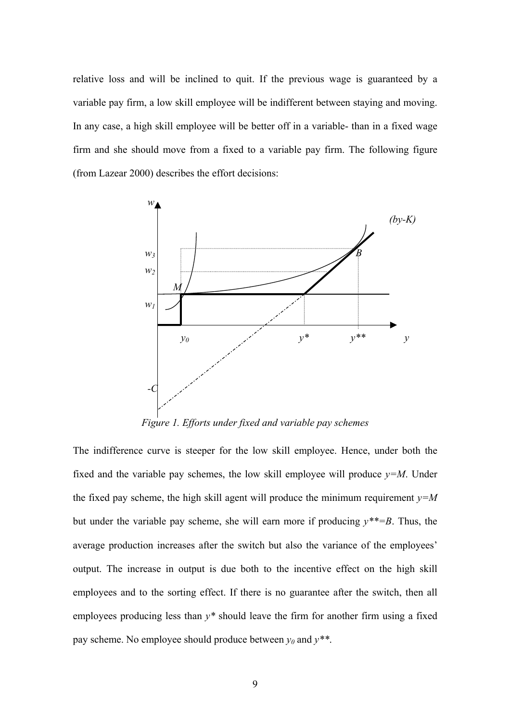relative loss and will be inclined to quit. If the previous wage is guaranteed by a variable pay firm, a low skill employee will be indifferent between staying and moving. In any case, a high skill employee will be better off in a variable- than in a fixed wage firm and she should move from a fixed to a variable pay firm. The following figure (from Lazear 2000) describes the effort decisions:



*Figure 1. Efforts under fixed and variable pay schemes* 

The indifference curve is steeper for the low skill employee. Hence, under both the fixed and the variable pay schemes, the low skill employee will produce  $v=M$ . Under the fixed pay scheme, the high skill agent will produce the minimum requirement  $y=M$ but under the variable pay scheme, she will earn more if producing  $y^{**}=B$ . Thus, the average production increases after the switch but also the variance of the employees' output. The increase in output is due both to the incentive effect on the high skill employees and to the sorting effect. If there is no guarantee after the switch, then all employees producing less than *y\** should leave the firm for another firm using a fixed pay scheme. No employee should produce between  $y_0$  and  $y^{**}$ .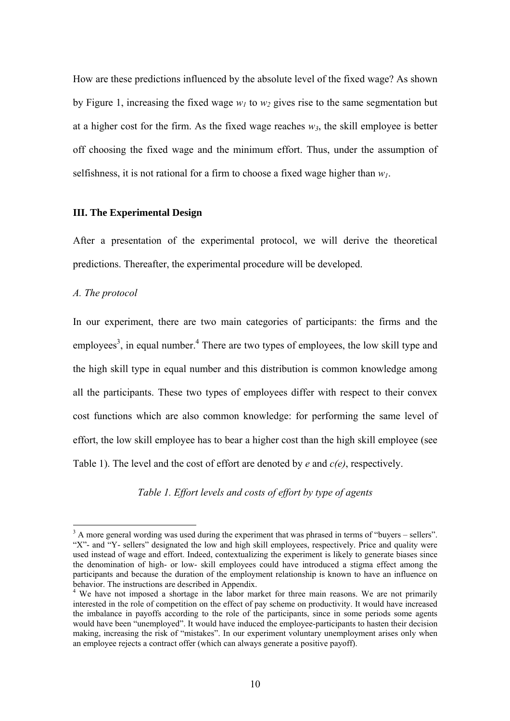How are these predictions influenced by the absolute level of the fixed wage? As shown by Figure 1, increasing the fixed wage  $w_l$  to  $w_2$  gives rise to the same segmentation but at a higher cost for the firm. As the fixed wage reaches  $w_3$ , the skill employee is better off choosing the fixed wage and the minimum effort. Thus, under the assumption of selfishness, it is not rational for a firm to choose a fixed wage higher than  $w_l$ .

#### **III. The Experimental Design**

After a presentation of the experimental protocol, we will derive the theoretical predictions. Thereafter, the experimental procedure will be developed.

#### *A. The protocol*

In our experiment, there are two main categories of participants: the firms and the employees<sup>3</sup>, in equal number.<sup>[4](#page-11-1)</sup> There are two types of employees, the low skill type and the high skill type in equal number and this distribution is common knowledge among all the participants. These two types of employees differ with respect to their convex cost functions which are also common knowledge: for performing the same level of effort, the low skill employee has to bear a higher cost than the high skill employee (see Table 1). The level and the cost of effort are denoted by *e* and *c(e)*, respectively.

*Table 1. Effort levels and costs of effort by type of agents* 

<span id="page-11-0"></span> <sup>3</sup> <sup>3</sup> A more general wording was used during the experiment that was phrased in terms of "buyers – sellers". "X"- and "Y- sellers" designated the low and high skill employees, respectively. Price and quality were used instead of wage and effort. Indeed, contextualizing the experiment is likely to generate biases since the denomination of high- or low- skill employees could have introduced a stigma effect among the participants and because the duration of the employment relationship is known to have an influence on behavior. The instructions are described in Appendix.<br><sup>4</sup> We have not imposed a shortage in the labor market for three main reasons. We are not primarily

<span id="page-11-1"></span>interested in the role of competition on the effect of pay scheme on productivity. It would have increased the imbalance in payoffs according to the role of the participants, since in some periods some agents would have been "unemployed". It would have induced the employee-participants to hasten their decision making, increasing the risk of "mistakes". In our experiment voluntary unemployment arises only when an employee rejects a contract offer (which can always generate a positive payoff).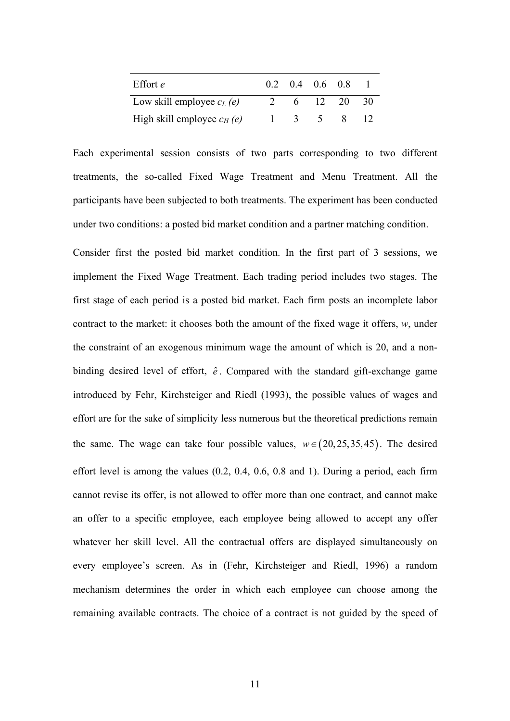| Effort <i>e</i>              |  | $0.2 \quad 0.4 \quad 0.6 \quad 0.8$             |    |
|------------------------------|--|-------------------------------------------------|----|
| Low skill employee $c_l$ (e) |  | 6 12 20                                         | 30 |
| High skill employee $c_H(e)$ |  | $\begin{array}{cccc} 1 & 3 & 5 & 8 \end{array}$ |    |

Each experimental session consists of two parts corresponding to two different treatments, the so-called Fixed Wage Treatment and Menu Treatment. All the participants have been subjected to both treatments. The experiment has been conducted under two conditions: a posted bid market condition and a partner matching condition.

Consider first the posted bid market condition. In the first part of 3 sessions, we implement the Fixed Wage Treatment. Each trading period includes two stages. The first stage of each period is a posted bid market. Each firm posts an incomplete labor contract to the market: it chooses both the amount of the fixed wage it offers, *w*, under the constraint of an exogenous minimum wage the amount of which is 20, and a nonbinding desired level of effort,  $\hat{e}$ . Compared with the standard gift-exchange game introduced by Fehr, Kirchsteiger and Riedl (1993), the possible values of wages and effort are for the sake of simplicity less numerous but the theoretical predictions remain the same. The wage can take four possible values,  $w \in (20, 25, 35, 45)$ . The desired effort level is among the values (0.2, 0.4, 0.6, 0.8 and 1). During a period, each firm cannot revise its offer, is not allowed to offer more than one contract, and cannot make an offer to a specific employee, each employee being allowed to accept any offer whatever her skill level. All the contractual offers are displayed simultaneously on every employee's screen. As in (Fehr, Kirchsteiger and Riedl, 1996) a random mechanism determines the order in which each employee can choose among the remaining available contracts. The choice of a contract is not guided by the speed of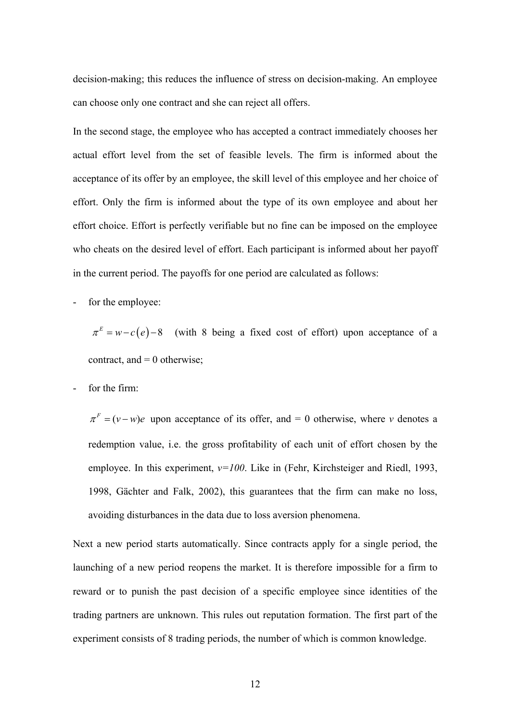decision-making; this reduces the influence of stress on decision-making. An employee can choose only one contract and she can reject all offers.

In the second stage, the employee who has accepted a contract immediately chooses her actual effort level from the set of feasible levels. The firm is informed about the acceptance of its offer by an employee, the skill level of this employee and her choice of effort. Only the firm is informed about the type of its own employee and about her effort choice. Effort is perfectly verifiable but no fine can be imposed on the employee who cheats on the desired level of effort. Each participant is informed about her payoff in the current period. The payoffs for one period are calculated as follows:

for the employee:

 $\pi^{E} = w - c(e) - 8$  (with 8 being a fixed cost of effort) upon acceptance of a contract, and  $= 0$  otherwise;

for the firm:

 $\pi^F = (v - w)e$  upon acceptance of its offer, and = 0 otherwise, where *v* denotes a redemption value, i.e. the gross profitability of each unit of effort chosen by the employee. In this experiment,  $v=100$ . Like in (Fehr, Kirchsteiger and Riedl, 1993, 1998, Gächter and Falk, 2002), this guarantees that the firm can make no loss, avoiding disturbances in the data due to loss aversion phenomena.

Next a new period starts automatically. Since contracts apply for a single period, the launching of a new period reopens the market. It is therefore impossible for a firm to reward or to punish the past decision of a specific employee since identities of the trading partners are unknown. This rules out reputation formation. The first part of the experiment consists of 8 trading periods, the number of which is common knowledge.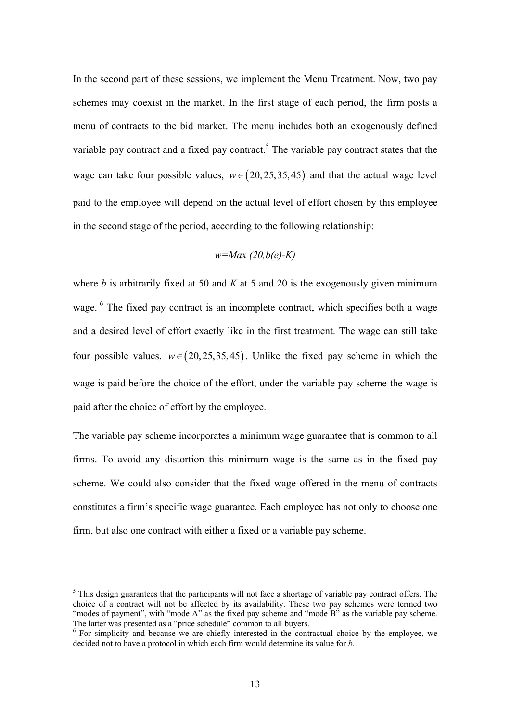In the second part of these sessions, we implement the Menu Treatment. Now, two pay schemes may coexist in the market. In the first stage of each period, the firm posts a menu of contracts to the bid market. The menu includes both an exogenously defined variable pay contract and a fixed pay contract.<sup>[5](#page-14-0)</sup> The variable pay contract states that the wage can take four possible values,  $w \in (20, 25, 35, 45)$  and that the actual wage level paid to the employee will depend on the actual level of effort chosen by this employee in the second stage of the period, according to the following relationship:

$$
w = Max (20, b(e) - K)
$$

where *b* is arbitrarily fixed at 50 and *K* at 5 and 20 is the exogenously given minimum wage. <sup>6</sup> The fixed pay contract is an incomplete contract, which specifies both a wage and a desired level of effort exactly like in the first treatment. The wage can still take four possible values,  $w \in (20, 25, 35, 45)$ . Unlike the fixed pay scheme in which the wage is paid before the choice of the effort, under the variable pay scheme the wage is paid after the choice of effort by the employee.

The variable pay scheme incorporates a minimum wage guarantee that is common to all firms. To avoid any distortion this minimum wage is the same as in the fixed pay scheme. We could also consider that the fixed wage offered in the menu of contracts constitutes a firm's specific wage guarantee. Each employee has not only to choose one firm, but also one contract with either a fixed or a variable pay scheme.

 $\overline{a}$ 

<span id="page-14-0"></span><sup>&</sup>lt;sup>5</sup> This design guarantees that the participants will not face a shortage of variable pay contract offers. The choice of a contract will not be affected by its availability. These two pay schemes were termed two "modes of payment", with "mode A" as the fixed pay scheme and "mode B" as the variable pay scheme. The latter was presented as a "price schedule" common to all buyers.

<span id="page-14-1"></span> $6\,\text{For simplicity and because we are chiefly interested in the contractual choice by the employee, we$ decided not to have a protocol in which each firm would determine its value for *b*.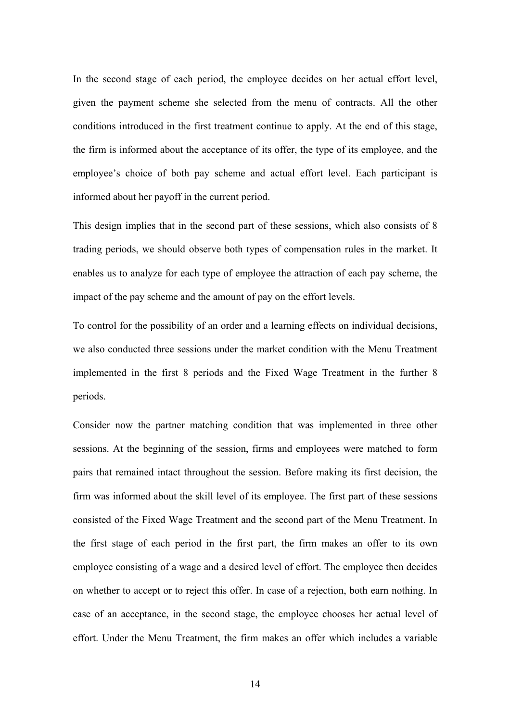In the second stage of each period, the employee decides on her actual effort level, given the payment scheme she selected from the menu of contracts. All the other conditions introduced in the first treatment continue to apply. At the end of this stage, the firm is informed about the acceptance of its offer, the type of its employee, and the employee's choice of both pay scheme and actual effort level. Each participant is informed about her payoff in the current period.

This design implies that in the second part of these sessions, which also consists of 8 trading periods, we should observe both types of compensation rules in the market. It enables us to analyze for each type of employee the attraction of each pay scheme, the impact of the pay scheme and the amount of pay on the effort levels.

To control for the possibility of an order and a learning effects on individual decisions, we also conducted three sessions under the market condition with the Menu Treatment implemented in the first 8 periods and the Fixed Wage Treatment in the further 8 periods.

Consider now the partner matching condition that was implemented in three other sessions. At the beginning of the session, firms and employees were matched to form pairs that remained intact throughout the session. Before making its first decision, the firm was informed about the skill level of its employee. The first part of these sessions consisted of the Fixed Wage Treatment and the second part of the Menu Treatment. In the first stage of each period in the first part, the firm makes an offer to its own employee consisting of a wage and a desired level of effort. The employee then decides on whether to accept or to reject this offer. In case of a rejection, both earn nothing. In case of an acceptance, in the second stage, the employee chooses her actual level of effort. Under the Menu Treatment, the firm makes an offer which includes a variable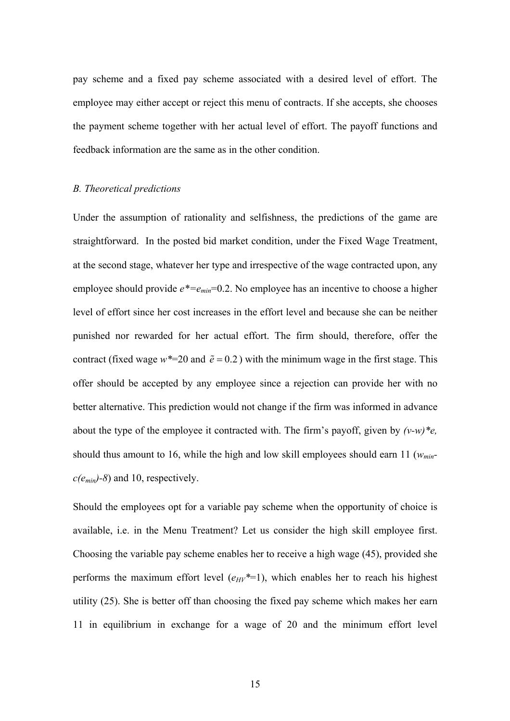pay scheme and a fixed pay scheme associated with a desired level of effort. The employee may either accept or reject this menu of contracts. If she accepts, she chooses the payment scheme together with her actual level of effort. The payoff functions and feedback information are the same as in the other condition.

#### *B. Theoretical predictions*

Under the assumption of rationality and selfishness, the predictions of the game are straightforward. In the posted bid market condition, under the Fixed Wage Treatment, at the second stage, whatever her type and irrespective of the wage contracted upon, any employee should provide  $e^* = e_{min} = 0.2$ . No employee has an incentive to choose a higher level of effort since her cost increases in the effort level and because she can be neither punished nor rewarded for her actual effort. The firm should, therefore, offer the contract (fixed wage  $w^*=20$  and  $\tilde{e} = 0.2$ ) with the minimum wage in the first stage. This offer should be accepted by any employee since a rejection can provide her with no better alternative. This prediction would not change if the firm was informed in advance about the type of the employee it contracted with. The firm's payoff, given by *(v-w)\*e,* should thus amount to 16, while the high and low skill employees should earn 11 (*wminc(emin)-8*) and 10, respectively.

Should the employees opt for a variable pay scheme when the opportunity of choice is available, i.e. in the Menu Treatment? Let us consider the high skill employee first. Choosing the variable pay scheme enables her to receive a high wage (45), provided she performs the maximum effort level  $(e_{HV}^*=1)$ , which enables her to reach his highest utility (25). She is better off than choosing the fixed pay scheme which makes her earn 11 in equilibrium in exchange for a wage of 20 and the minimum effort level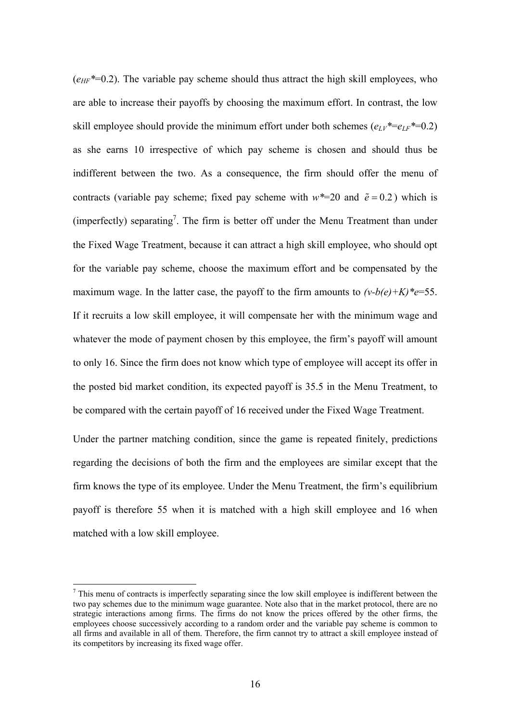$(e_{HF}^*=0.2)$ . The variable pay scheme should thus attract the high skill employees, who are able to increase their payoffs by choosing the maximum effort. In contrast, the low skill employee should provide the minimum effort under both schemes  $(e_L y^* = e_L f^* = 0.2)$ as she earns 10 irrespective of which pay scheme is chosen and should thus be indifferent between the two. As a consequence, the firm should offer the menu of contracts (variable pay scheme; fixed pay scheme with  $w^*=20$  and  $\tilde{e} = 0.2$ ) which is (imperfectly) separating<sup>[7](#page-17-0)</sup>. The firm is better off under the Menu Treatment than under the Fixed Wage Treatment, because it can attract a high skill employee, who should opt for the variable pay scheme, choose the maximum effort and be compensated by the maximum wage. In the latter case, the payoff to the firm amounts to  $(v-b(e)+K)^*e=55$ . If it recruits a low skill employee, it will compensate her with the minimum wage and whatever the mode of payment chosen by this employee, the firm's payoff will amount to only 16. Since the firm does not know which type of employee will accept its offer in the posted bid market condition, its expected payoff is 35.5 in the Menu Treatment, to be compared with the certain payoff of 16 received under the Fixed Wage Treatment.

Under the partner matching condition, since the game is repeated finitely, predictions regarding the decisions of both the firm and the employees are similar except that the firm knows the type of its employee. Under the Menu Treatment, the firm's equilibrium payoff is therefore 55 when it is matched with a high skill employee and 16 when matched with a low skill employee.

<span id="page-17-0"></span><sup>&</sup>lt;sup>-</sup>  $\frac{7}{1}$  This menu of contracts is imperfectly separating since the low skill employee is indifferent between the two pay schemes due to the minimum wage guarantee. Note also that in the market protocol, there are no strategic interactions among firms. The firms do not know the prices offered by the other firms, the employees choose successively according to a random order and the variable pay scheme is common to all firms and available in all of them. Therefore, the firm cannot try to attract a skill employee instead of its competitors by increasing its fixed wage offer.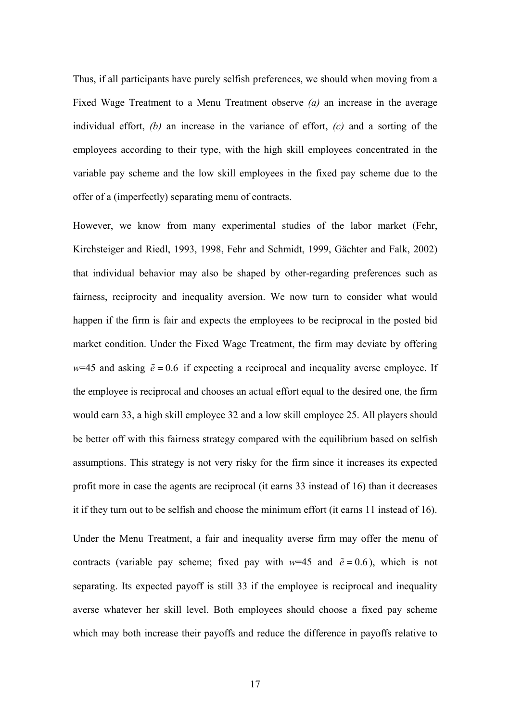Thus, if all participants have purely selfish preferences, we should when moving from a Fixed Wage Treatment to a Menu Treatment observe *(a)* an increase in the average individual effort, *(b)* an increase in the variance of effort, *(c)* and a sorting of the employees according to their type, with the high skill employees concentrated in the variable pay scheme and the low skill employees in the fixed pay scheme due to the offer of a (imperfectly) separating menu of contracts.

However, we know from many experimental studies of the labor market (Fehr, Kirchsteiger and Riedl, 1993, 1998, Fehr and Schmidt, 1999, Gächter and Falk, 2002) that individual behavior may also be shaped by other-regarding preferences such as fairness, reciprocity and inequality aversion. We now turn to consider what would happen if the firm is fair and expects the employees to be reciprocal in the posted bid market condition. Under the Fixed Wage Treatment, the firm may deviate by offering  $w=45$  and asking  $\tilde{e} = 0.6$  if expecting a reciprocal and inequality averse employee. If the employee is reciprocal and chooses an actual effort equal to the desired one, the firm would earn 33, a high skill employee 32 and a low skill employee 25. All players should be better off with this fairness strategy compared with the equilibrium based on selfish assumptions. This strategy is not very risky for the firm since it increases its expected profit more in case the agents are reciprocal (it earns 33 instead of 16) than it decreases it if they turn out to be selfish and choose the minimum effort (it earns 11 instead of 16). Under the Menu Treatment, a fair and inequality averse firm may offer the menu of contracts (variable pay scheme; fixed pay with  $w=45$  and  $\tilde{e} = 0.6$ ), which is not separating. Its expected payoff is still 33 if the employee is reciprocal and inequality averse whatever her skill level. Both employees should choose a fixed pay scheme which may both increase their payoffs and reduce the difference in payoffs relative to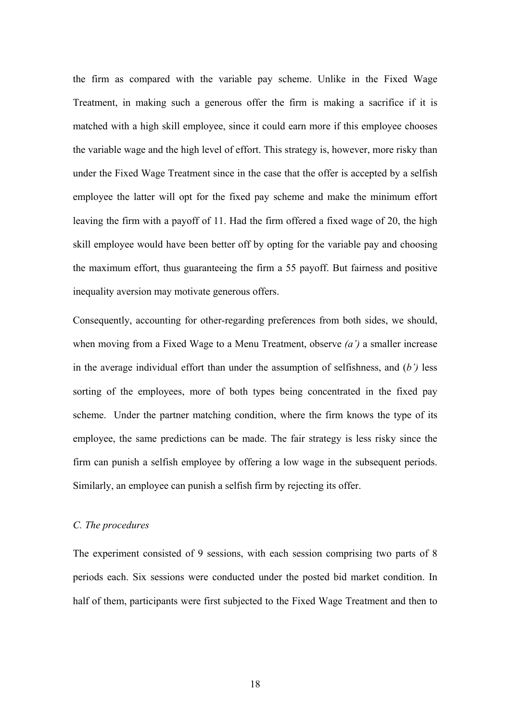the firm as compared with the variable pay scheme. Unlike in the Fixed Wage Treatment, in making such a generous offer the firm is making a sacrifice if it is matched with a high skill employee, since it could earn more if this employee chooses the variable wage and the high level of effort. This strategy is, however, more risky than under the Fixed Wage Treatment since in the case that the offer is accepted by a selfish employee the latter will opt for the fixed pay scheme and make the minimum effort leaving the firm with a payoff of 11. Had the firm offered a fixed wage of 20, the high skill employee would have been better off by opting for the variable pay and choosing the maximum effort, thus guaranteeing the firm a 55 payoff. But fairness and positive inequality aversion may motivate generous offers.

Consequently, accounting for other-regarding preferences from both sides, we should, when moving from a Fixed Wage to a Menu Treatment, observe *(a')* a smaller increase in the average individual effort than under the assumption of selfishness, and (*b')* less sorting of the employees, more of both types being concentrated in the fixed pay scheme. Under the partner matching condition, where the firm knows the type of its employee, the same predictions can be made. The fair strategy is less risky since the firm can punish a selfish employee by offering a low wage in the subsequent periods. Similarly, an employee can punish a selfish firm by rejecting its offer.

#### *C. The procedures*

The experiment consisted of 9 sessions, with each session comprising two parts of 8 periods each. Six sessions were conducted under the posted bid market condition. In half of them, participants were first subjected to the Fixed Wage Treatment and then to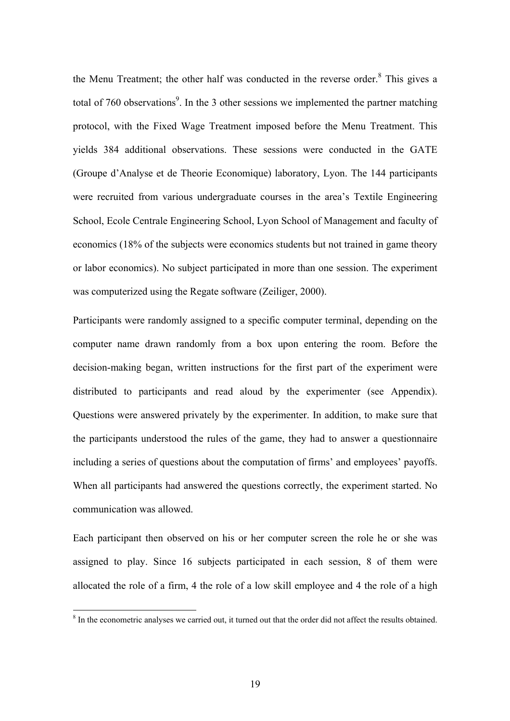<span id="page-20-1"></span>the Menu Treatment; the other half was conducted in the reverse order.<sup>[8](#page-20-0)</sup> This gives a total of 760 observations<sup>9</sup>. In the 3 other sessions we implemented the partner matching protocol, with the Fixed Wage Treatment imposed before the Menu Treatment. This yields 384 additional observations. These sessions were conducted in the GATE (Groupe d'Analyse et de Theorie Economique) laboratory, Lyon. The 144 participants were recruited from various undergraduate courses in the area's Textile Engineering School, Ecole Centrale Engineering School, Lyon School of Management and faculty of economics (18% of the subjects were economics students but not trained in game theory or labor economics). No subject participated in more than one session. The experiment was computerized using the Regate software (Zeiliger, 2000).

Participants were randomly assigned to a specific computer terminal, depending on the computer name drawn randomly from a box upon entering the room. Before the decision-making began, written instructions for the first part of the experiment were distributed to participants and read aloud by the experimenter (see Appendix). Questions were answered privately by the experimenter. In addition, to make sure that the participants understood the rules of the game, they had to answer a questionnaire including a series of questions about the computation of firms' and employees' payoffs. When all participants had answered the questions correctly, the experiment started. No communication was allowed.

Each participant then observed on his or her computer screen the role he or she was assigned to play. Since 16 subjects participated in each session, 8 of them were allocated the role of a firm, 4 the role of a low skill employee and 4 the role of a high

<span id="page-20-0"></span> <sup>8</sup> <sup>8</sup> In the econometric analyses we carried out, it turned out that the order did not affect the results obtained.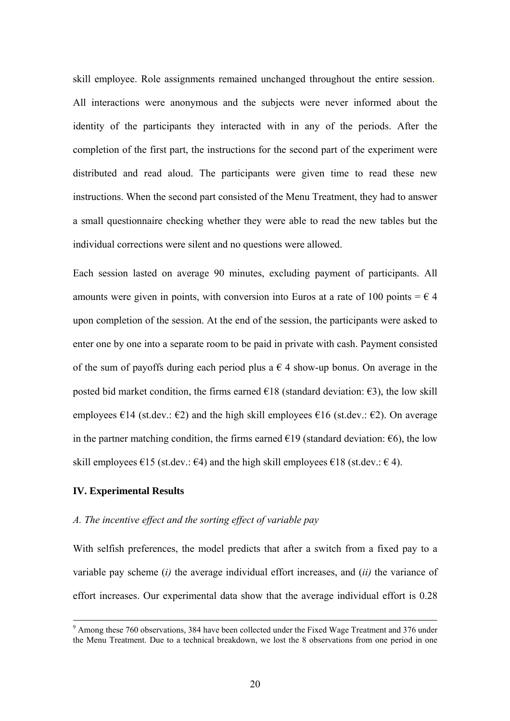skill employee. Role assignments remained unchanged throughout the entire session.. All interactions were anonymous and the subjects were never informed about the identity of the participants they interacted with in any of the periods. After the completion of the first part, the instructions for the second part of the experiment were distributed and read aloud. The participants were given time to read these new instructions. When the second part consisted of the Menu Treatment, they had to answer a small questionnaire checking whether they were able to read the new tables but the individual corrections were silent and no questions were allowed.

Each session lasted on average 90 minutes, excluding payment of participants. All amounts were given in points, with conversion into Euros at a rate of 100 points =  $\epsilon$  4 upon completion of the session. At the end of the session, the participants were asked to enter one by one into a separate room to be paid in private with cash. Payment consisted of the sum of payoffs during each period plus a  $\epsilon$  4 show-up bonus. On average in the posted bid market condition, the firms earned  $\epsilon$ 18 (standard deviation:  $\epsilon$ 3), the low skill employees  $\epsilon$ 14 (st.dev.:  $\epsilon$ 2) and the high skill employees  $\epsilon$ 16 (st.dev.:  $\epsilon$ 2). On average in the partner matching condition, the firms earned  $\epsilon$ 19 (standard deviation:  $\epsilon$ 6), the low skill employees  $\epsilon$ 15 (st.dev.:  $\epsilon$ 4) and the high skill employees  $\epsilon$ 18 (st.dev.:  $\epsilon$  4).

#### **IV. Experimental Results**

#### *A. The incentive effect and the sorting effect of variable pay*

With selfish preferences, the model predicts that after a switch from a fixed pay to a variable pay scheme (*i)* the average individual effort increases, and (*ii)* the variance of effort increases. Our experimental data show that the average individual effort is 0.28

<sup>-&</sup>lt;br>9 <sup>9</sup> Among these 760 observations, 384 have been collected under the Fixed Wage Treatment and 376 under the Menu Treatment. Due to a technical breakdown, we lost the 8 observations from one period in one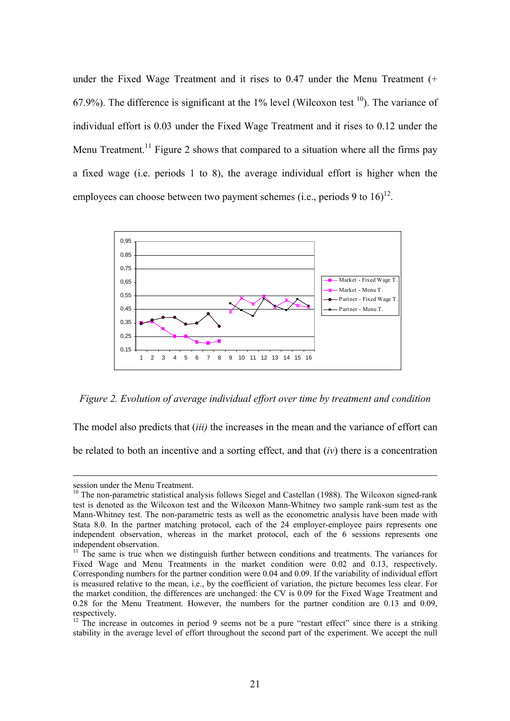<span id="page-22-2"></span>under the Fixed Wage Treatment and it rises to 0.47 under the Menu Treatment (+ 67.9%). The difference is significant at the 1% level (Wilcoxon test  $10$ ). The variance of individual effort is 0.03 under the Fixed Wage Treatment and it rises to 0.12 under the Menu Treatment.<sup>11</sup> Figure 2 shows that compared to a situation where all the firms pay a fixed wage (i.e. periods 1 to 8), the average individual effort is higher when the employees can choose between two payment schemes (i.e., periods 9 to  $16$ )<sup>12</sup>.



*Figure 2. Evolution of average individual effort over time by treatment and condition* 

The model also predicts that (*iii)* the increases in the mean and the variance of effort can

be related to both an incentive and a sorting effect, and that (*iv*) there is a concentration

<span id="page-22-0"></span>

session under the Menu Treatment.<br><sup>10</sup> The non-parametric statistical analysis follows Siegel and Castellan (1988). The Wilcoxon signed-rank test is denoted as the Wilcoxon test and the Wilcoxon Mann-Whitney two sample rank-sum test as the Mann-Whitney test. The non-parametric tests as well as the econometric analysis have been made with Stata 8.0. In the partner matching protocol, each of the 24 employer-employee pairs represents one independent observation, whereas in the market protocol, each of the 6 sessions represents one

<span id="page-22-1"></span> $11$  The same is true when we distinguish further between conditions and treatments. The variances for Fixed Wage and Menu Treatments in the market condition were 0.02 and 0.13, respectively. Corresponding numbers for the partner condition were 0.04 and 0.09. If the variability of individual effort is measured relative to the mean, i.e., by the coefficient of variation, the picture becomes less clear. For the market condition, the differences are unchanged: the CV is 0.09 for the Fixed Wage Treatment and 0.28 for the Menu Treatment. However, the numbers for the partner condition are 0.13 and 0.09, respectively.

 $12$  The increase in outcomes in period 9 seems not be a pure "restart effect" since there is a striking stability in the average level of effort throughout the second part of the experiment. We accept the null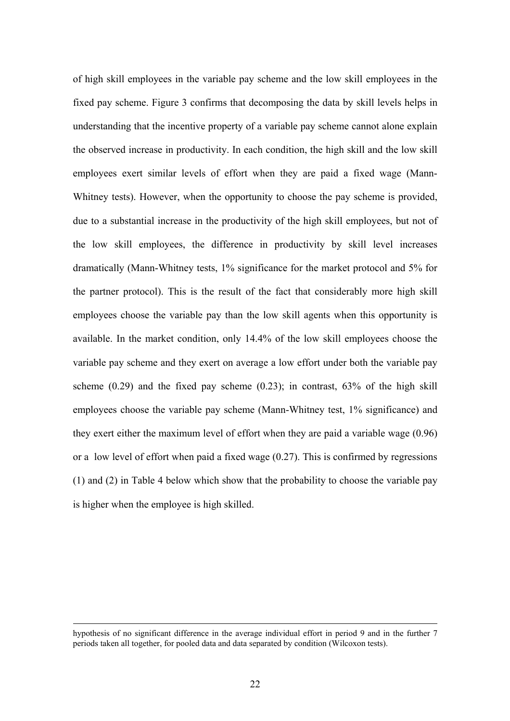of high skill employees in the variable pay scheme and the low skill employees in the fixed pay scheme. Figure 3 confirms that decomposing the data by skill levels helps in understanding that the incentive property of a variable pay scheme cannot alone explain the observed increase in productivity. In each condition, the high skill and the low skill employees exert similar levels of effort when they are paid a fixed wage (Mann-Whitney tests). However, when the opportunity to choose the pay scheme is provided, due to a substantial increase in the productivity of the high skill employees, but not of the low skill employees, the difference in productivity by skill level increases dramatically (Mann-Whitney tests, 1% significance for the market protocol and 5% for the partner protocol). This is the result of the fact that considerably more high skill employees choose the variable pay than the low skill agents when this opportunity is available. In the market condition, only 14.4% of the low skill employees choose the variable pay scheme and they exert on average a low effort under both the variable pay scheme  $(0.29)$  and the fixed pay scheme  $(0.23)$ ; in contrast,  $63\%$  of the high skill employees choose the variable pay scheme (Mann-Whitney test, 1% significance) and they exert either the maximum level of effort when they are paid a variable wage (0.96) or a low level of effort when paid a fixed wage (0.27). This is confirmed by regressions (1) and (2) in Table 4 below which show that the probability to choose the variable pay is higher when the employee is high skilled.

hypothesis of no significant difference in the average individual effort in period 9 and in the further 7 periods taken all together, for pooled data and data separated by condition (Wilcoxon tests).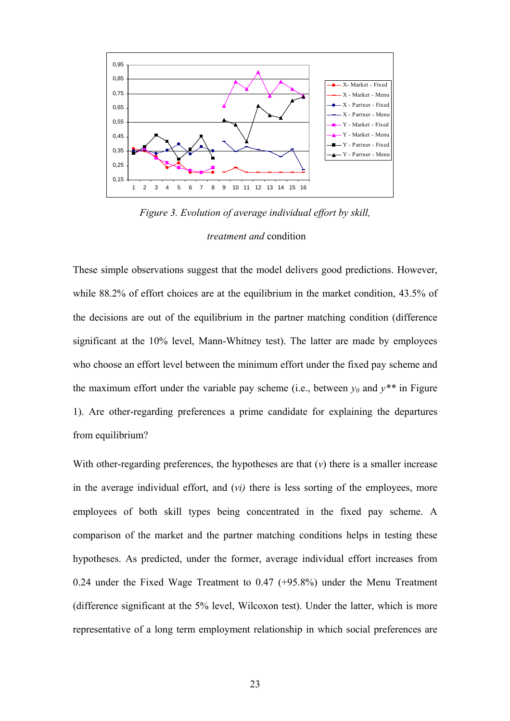

*Figure 3. Evolution of average individual effort by skill, treatment and* condition

These simple observations suggest that the model delivers good predictions. However, while 88.2% of effort choices are at the equilibrium in the market condition, 43.5% of the decisions are out of the equilibrium in the partner matching condition (difference significant at the 10% level, Mann-Whitney test). The latter are made by employees who choose an effort level between the minimum effort under the fixed pay scheme and the maximum effort under the variable pay scheme (i.e., between  $y_0$  and  $y^{**}$  in Figure 1). Are other-regarding preferences a prime candidate for explaining the departures from equilibrium?

With other-regarding preferences, the hypotheses are that (*v*) there is a smaller increase in the average individual effort, and (*vi)* there is less sorting of the employees, more employees of both skill types being concentrated in the fixed pay scheme. A comparison of the market and the partner matching conditions helps in testing these hypotheses. As predicted, under the former, average individual effort increases from 0.24 under the Fixed Wage Treatment to 0.47 (+95.8%) under the Menu Treatment (difference significant at the 5% level, Wilcoxon test). Under the latter, which is more representative of a long term employment relationship in which social preferences are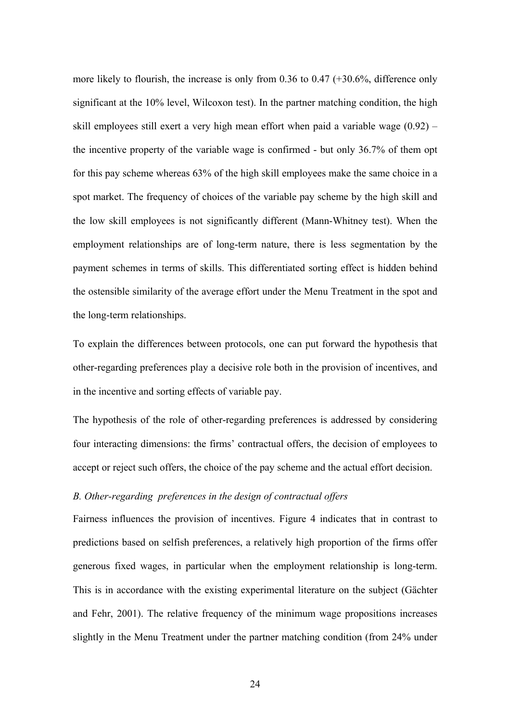more likely to flourish, the increase is only from 0.36 to 0.47 (+30.6%, difference only significant at the 10% level, Wilcoxon test). In the partner matching condition, the high skill employees still exert a very high mean effort when paid a variable wage (0.92) – the incentive property of the variable wage is confirmed - but only 36.7% of them opt for this pay scheme whereas 63% of the high skill employees make the same choice in a spot market. The frequency of choices of the variable pay scheme by the high skill and the low skill employees is not significantly different (Mann-Whitney test). When the employment relationships are of long-term nature, there is less segmentation by the payment schemes in terms of skills. This differentiated sorting effect is hidden behind the ostensible similarity of the average effort under the Menu Treatment in the spot and the long-term relationships.

To explain the differences between protocols, one can put forward the hypothesis that other-regarding preferences play a decisive role both in the provision of incentives, and in the incentive and sorting effects of variable pay.

The hypothesis of the role of other-regarding preferences is addressed by considering four interacting dimensions: the firms' contractual offers, the decision of employees to accept or reject such offers, the choice of the pay scheme and the actual effort decision.

#### *B. Other-regarding preferences in the design of contractual offers*

Fairness influences the provision of incentives. Figure 4 indicates that in contrast to predictions based on selfish preferences, a relatively high proportion of the firms offer generous fixed wages, in particular when the employment relationship is long-term. This is in accordance with the existing experimental literature on the subject (Gächter and Fehr, 2001). The relative frequency of the minimum wage propositions increases slightly in the Menu Treatment under the partner matching condition (from 24% under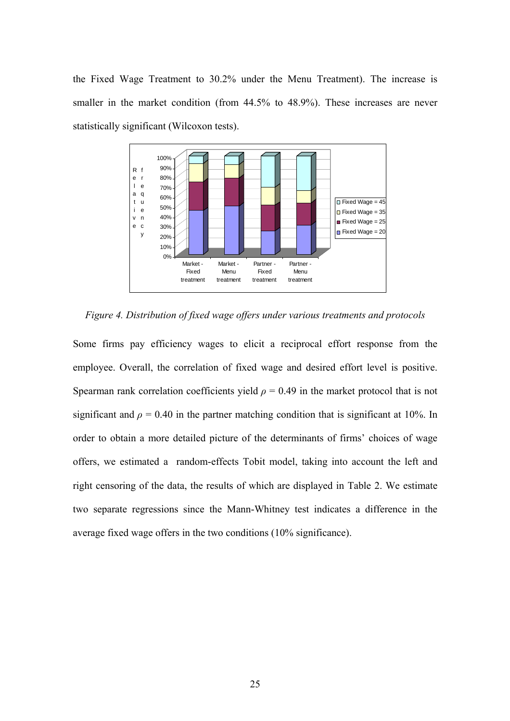the Fixed Wage Treatment to 30.2% under the Menu Treatment). The increase is smaller in the market condition (from 44.5% to 48.9%). These increases are never statistically significant (Wilcoxon tests).



*Figure 4. Distribution of fixed wage offers under various treatments and protocols* 

Some firms pay efficiency wages to elicit a reciprocal effort response from the employee. Overall, the correlation of fixed wage and desired effort level is positive. Spearman rank correlation coefficients yield  $\rho = 0.49$  in the market protocol that is not significant and  $\rho = 0.40$  in the partner matching condition that is significant at 10%. In order to obtain a more detailed picture of the determinants of firms' choices of wage offers, we estimated a random-effects Tobit model, taking into account the left and right censoring of the data, the results of which are displayed in Table 2. We estimate two separate regressions since the Mann-Whitney test indicates a difference in the average fixed wage offers in the two conditions (10% significance).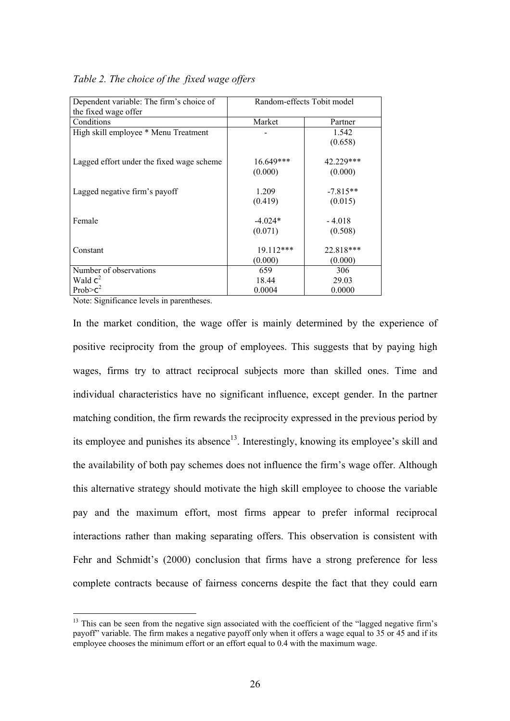| Dependent variable: The firm's choice of  | Random-effects Tobit model |            |  |  |
|-------------------------------------------|----------------------------|------------|--|--|
| the fixed wage offer                      |                            |            |  |  |
| Conditions                                | Market                     | Partner    |  |  |
| High skill employee * Menu Treatment      |                            | 1.542      |  |  |
|                                           |                            | (0.658)    |  |  |
| Lagged effort under the fixed wage scheme | $16.649***$                | 42.229***  |  |  |
|                                           | (0.000)                    | (0.000)    |  |  |
| Lagged negative firm's payoff             | 1.209                      | $-7.815**$ |  |  |
|                                           | (0.419)                    | (0.015)    |  |  |
| Female                                    | $-4.024*$                  | $-4.018$   |  |  |
|                                           | (0.071)                    | (0.508)    |  |  |
| Constant                                  | 19.112***                  | 22.818***  |  |  |
|                                           | (0.000)                    | (0.000)    |  |  |
| Number of observations                    | 659                        | 306        |  |  |
| Wald $c^2$                                | 18.44                      | 29.03      |  |  |
| Prob $\geq c^2$                           | 0.0004                     | 0.0000     |  |  |

#### *Table 2. The choice of the fixed wage offers*

Note: Significance levels in parentheses.

In the market condition, the wage offer is mainly determined by the experience of positive reciprocity from the group of employees. This suggests that by paying high wages, firms try to attract reciprocal subjects more than skilled ones. Time and individual characteristics have no significant influence, except gender. In the partner matching condition, the firm rewards the reciprocity expressed in the previous period by its employee and punishes its absence<sup>13</sup>. Interestingly, knowing its employee's skill and the availability of both pay schemes does not influence the firm's wage offer. Although this alternative strategy should motivate the high skill employee to choose the variable pay and the maximum effort, most firms appear to prefer informal reciprocal interactions rather than making separating offers. This observation is consistent with Fehr and Schmidt's (2000) conclusion that firms have a strong preference for less complete contracts because of fairness concerns despite the fact that they could earn

<span id="page-27-0"></span><sup>&</sup>lt;sup>13</sup> This can be seen from the negative sign associated with the coefficient of the "lagged negative firm's payoff" variable. The firm makes a negative payoff only when it offers a wage equal to 35 or 45 and if its employee chooses the minimum effort or an effort equal to 0.4 with the maximum wage.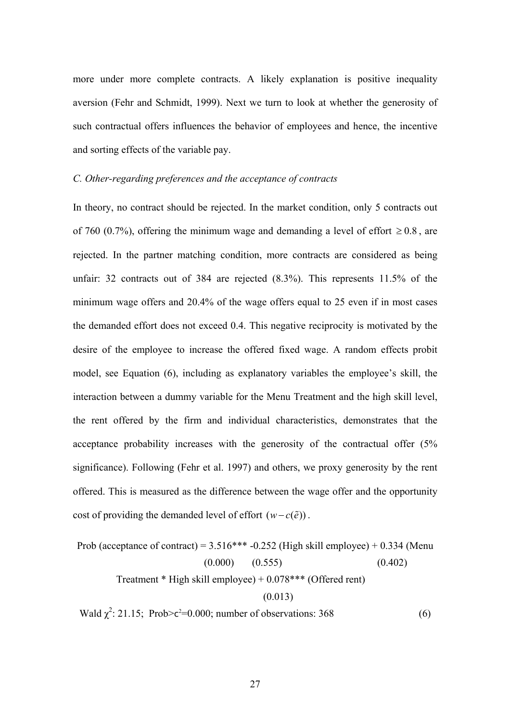more under more complete contracts. A likely explanation is positive inequality aversion (Fehr and Schmidt, 1999). Next we turn to look at whether the generosity of such contractual offers influences the behavior of employees and hence, the incentive and sorting effects of the variable pay.

#### *C. Other-regarding preferences and the acceptance of contracts*

In theory, no contract should be rejected. In the market condition, only 5 contracts out of 760 (0.7%), offering the minimum wage and demanding a level of effort  $\geq 0.8$ , are rejected. In the partner matching condition, more contracts are considered as being unfair: 32 contracts out of 384 are rejected (8.3%). This represents 11.5% of the minimum wage offers and 20.4% of the wage offers equal to 25 even if in most cases the demanded effort does not exceed 0.4. This negative reciprocity is motivated by the desire of the employee to increase the offered fixed wage. A random effects probit model, see Equation (6), including as explanatory variables the employee's skill, the interaction between a dummy variable for the Menu Treatment and the high skill level, the rent offered by the firm and individual characteristics, demonstrates that the acceptance probability increases with the generosity of the contractual offer (5% significance). Following (Fehr et al. 1997) and others, we proxy generosity by the rent offered. This is measured as the difference between the wage offer and the opportunity cost of providing the demanded level of effort  $(w - c(\tilde{e}))$ .

Prob (acceptance of contract) = 
$$
3.516***-0.252
$$
 (High skill employee) + 0.334 (Menu  $(0.000)$   $(0.555)$   $(0.402)$ 

\nTreatment \* High skill employee) + 0.078\*\*\* (Official rent)  $(0.013)$ 

Wald  $\chi^2$ : 21.15; Prob>c<sup>2</sup>=0.000; number of observations: 368 (6)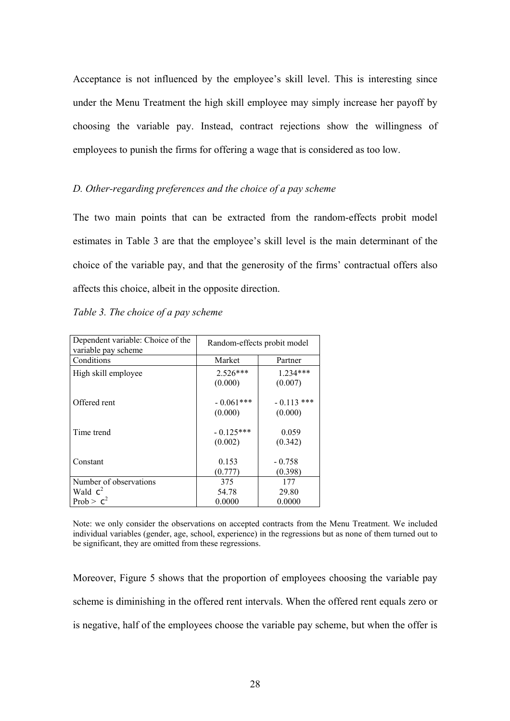Acceptance is not influenced by the employee's skill level. This is interesting since under the Menu Treatment the high skill employee may simply increase her payoff by choosing the variable pay. Instead, contract rejections show the willingness of employees to punish the firms for offering a wage that is considered as too low.

#### *D. Other-regarding preferences and the choice of a pay scheme*

The two main points that can be extracted from the random-effects probit model estimates in Table 3 are that the employee's skill level is the main determinant of the choice of the variable pay, and that the generosity of the firms' contractual offers also affects this choice, albeit in the opposite direction.

| Dependent variable: Choice of the<br>variable pay scheme | Random-effects probit model |                         |  |
|----------------------------------------------------------|-----------------------------|-------------------------|--|
| Conditions                                               | Market                      | Partner                 |  |
| High skill employee                                      | $2.526***$<br>(0.000)       | $1.234***$<br>(0.007)   |  |
| Offered rent                                             | $-0.061***$<br>(0.000)      | $-0.113$ ***<br>(0.000) |  |
| Time trend                                               | $-0.125***$<br>(0.002)      | 0.059<br>(0.342)        |  |
| Constant                                                 | 0.153<br>(0.777)            | $-0.758$<br>(0.398)     |  |
| Number of observations                                   | 375                         | 177                     |  |
| Wald $c^2$                                               | 54.78                       | 29.80                   |  |
| Prob > $c^2$                                             | 0.0000                      | 0.0000                  |  |

#### *Table 3. The choice of a pay scheme*

Note: we only consider the observations on accepted contracts from the Menu Treatment. We included individual variables (gender, age, school, experience) in the regressions but as none of them turned out to be significant, they are omitted from these regressions.

Moreover, Figure 5 shows that the proportion of employees choosing the variable pay scheme is diminishing in the offered rent intervals. When the offered rent equals zero or is negative, half of the employees choose the variable pay scheme, but when the offer is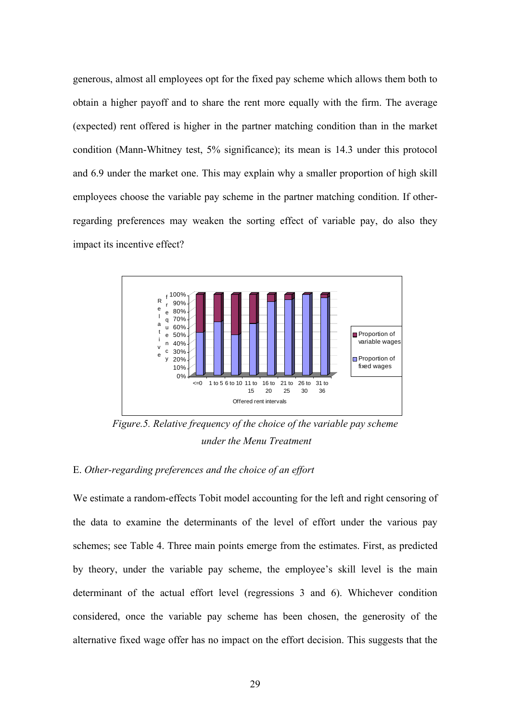generous, almost all employees opt for the fixed pay scheme which allows them both to obtain a higher payoff and to share the rent more equally with the firm. The average (expected) rent offered is higher in the partner matching condition than in the market condition (Mann-Whitney test, 5% significance); its mean is 14.3 under this protocol and 6.9 under the market one. This may explain why a smaller proportion of high skill employees choose the variable pay scheme in the partner matching condition. If otherregarding preferences may weaken the sorting effect of variable pay, do also they impact its incentive effect?



*Figure.5. Relative frequency of the choice of the variable pay scheme under the Menu Treatment* 

#### E. *Other-regarding preferences and the choice of an effort*

We estimate a random-effects Tobit model accounting for the left and right censoring of the data to examine the determinants of the level of effort under the various pay schemes; see Table 4. Three main points emerge from the estimates. First, as predicted by theory, under the variable pay scheme, the employee's skill level is the main determinant of the actual effort level (regressions 3 and 6). Whichever condition considered, once the variable pay scheme has been chosen, the generosity of the alternative fixed wage offer has no impact on the effort decision. This suggests that the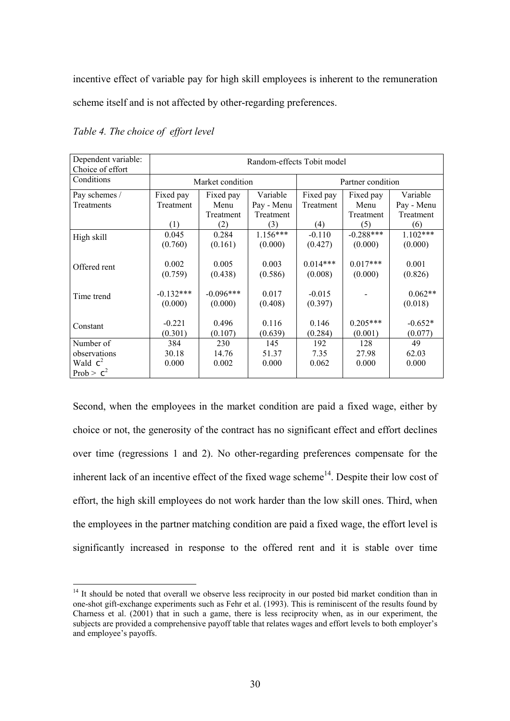incentive effect of variable pay for high skill employees is inherent to the remuneration scheme itself and is not affected by other-regarding preferences.

| Dependent variable:<br>Choice of effort | Random-effects Tobit model |                       |            |                   |             |            |
|-----------------------------------------|----------------------------|-----------------------|------------|-------------------|-------------|------------|
| Conditions                              | Market condition           |                       |            | Partner condition |             |            |
| Pay schemes /                           | Fixed pay                  | Variable<br>Fixed pay |            | Fixed pay         | Fixed pay   | Variable   |
| Treatments                              | Treatment                  | Menu                  | Pay - Menu | Treatment         | Menu        | Pay - Menu |
|                                         |                            | Treatment             | Treatment  |                   | Treatment   | Treatment  |
|                                         | (1)                        | (2)                   | (3)        | (4)               | (5)         | (6)        |
| High skill                              | 0.045                      | 0.284                 | $1.156***$ | $-0.110$          | $-0.288***$ | $1.102***$ |
|                                         | (0.760)                    | (0.161)               | (0.000)    | (0.427)           | (0.000)     | (0.000)    |
|                                         |                            |                       |            |                   |             |            |
| Offered rent                            | 0.002                      | 0.005                 | 0.003      | $0.014***$        | $0.017***$  | 0.001      |
|                                         | (0.759)                    | (0.438)               | (0.586)    | (0.008)           | (0.000)     | (0.826)    |
|                                         |                            |                       |            |                   |             |            |
| Time trend                              | $-0.132***$                | $-0.096***$           | 0.017      | $-0.015$          |             | $0.062**$  |
|                                         | (0.000)                    | (0.000)               | (0.408)    | (0.397)           |             | (0.018)    |
|                                         |                            |                       |            |                   |             |            |
| Constant                                | $-0.221$                   | 0.496                 | 0.116      | 0.146             | $0.205***$  | $-0.652*$  |
|                                         | (0.301)                    | (0.107)               | (0.639)    | (0.284)           | (0.001)     | (0.077)    |
| Number of                               | 384                        | 230                   | 145        | 192               | 128         | 49         |
| observations                            | 30.18                      | 14.76                 | 51.37      | 7.35              | 27.98       | 62.03      |
| Wald $c^2$                              | 0.000                      | 0.002                 | 0.000      | 0.062             | 0.000       | 0.000      |
| Prob > $c^2$                            |                            |                       |            |                   |             |            |

*Table 4. The choice of effort level*

Second, when the employees in the market condition are paid a fixed wage, either by choice or not, the generosity of the contract has no significant effect and effort declines over time (regressions 1 and 2). No other-regarding preferences compensate for the inherent lack of an incentive effect of the fixed wage scheme<sup>14</sup>. Despite their low cost of effort, the high skill employees do not work harder than the low skill ones. Third, when the employees in the partner matching condition are paid a fixed wage, the effort level is significantly increased in response to the offered rent and it is stable over time

<span id="page-31-0"></span><sup>&</sup>lt;sup>14</sup> It should be noted that overall we observe less reciprocity in our posted bid market condition than in one-shot gift-exchange experiments such as Fehr et al. (1993). This is reminiscent of the results found by Charness et al. (2001) that in such a game, there is less reciprocity when, as in our experiment, the subjects are provided a comprehensive payoff table that relates wages and effort levels to both employer's and employee's payoffs.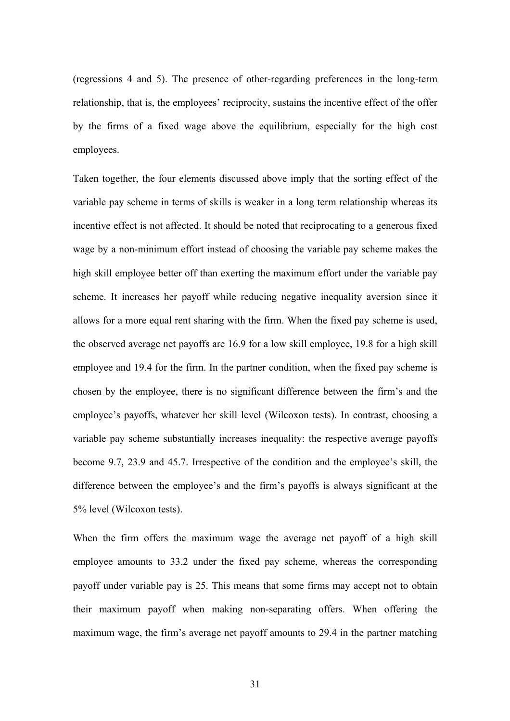(regressions 4 and 5). The presence of other-regarding preferences in the long-term relationship, that is, the employees' reciprocity, sustains the incentive effect of the offer by the firms of a fixed wage above the equilibrium, especially for the high cost employees.

Taken together, the four elements discussed above imply that the sorting effect of the variable pay scheme in terms of skills is weaker in a long term relationship whereas its incentive effect is not affected. It should be noted that reciprocating to a generous fixed wage by a non-minimum effort instead of choosing the variable pay scheme makes the high skill employee better off than exerting the maximum effort under the variable pay scheme. It increases her payoff while reducing negative inequality aversion since it allows for a more equal rent sharing with the firm. When the fixed pay scheme is used, the observed average net payoffs are 16.9 for a low skill employee, 19.8 for a high skill employee and 19.4 for the firm. In the partner condition, when the fixed pay scheme is chosen by the employee, there is no significant difference between the firm's and the employee's payoffs, whatever her skill level (Wilcoxon tests). In contrast, choosing a variable pay scheme substantially increases inequality: the respective average payoffs become 9.7, 23.9 and 45.7. Irrespective of the condition and the employee's skill, the difference between the employee's and the firm's payoffs is always significant at the 5% level (Wilcoxon tests).

When the firm offers the maximum wage the average net payoff of a high skill employee amounts to 33.2 under the fixed pay scheme, whereas the corresponding payoff under variable pay is 25. This means that some firms may accept not to obtain their maximum payoff when making non-separating offers. When offering the maximum wage, the firm's average net payoff amounts to 29.4 in the partner matching

31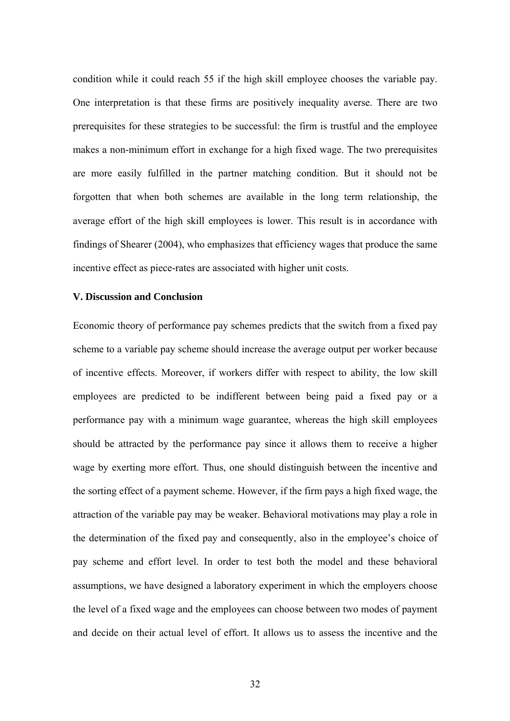condition while it could reach 55 if the high skill employee chooses the variable pay. One interpretation is that these firms are positively inequality averse. There are two prerequisites for these strategies to be successful: the firm is trustful and the employee makes a non-minimum effort in exchange for a high fixed wage. The two prerequisites are more easily fulfilled in the partner matching condition. But it should not be forgotten that when both schemes are available in the long term relationship, the average effort of the high skill employees is lower. This result is in accordance with findings of Shearer (2004), who emphasizes that efficiency wages that produce the same incentive effect as piece-rates are associated with higher unit costs.

#### **V. Discussion and Conclusion**

Economic theory of performance pay schemes predicts that the switch from a fixed pay scheme to a variable pay scheme should increase the average output per worker because of incentive effects. Moreover, if workers differ with respect to ability, the low skill employees are predicted to be indifferent between being paid a fixed pay or a performance pay with a minimum wage guarantee, whereas the high skill employees should be attracted by the performance pay since it allows them to receive a higher wage by exerting more effort. Thus, one should distinguish between the incentive and the sorting effect of a payment scheme. However, if the firm pays a high fixed wage, the attraction of the variable pay may be weaker. Behavioral motivations may play a role in the determination of the fixed pay and consequently, also in the employee's choice of pay scheme and effort level. In order to test both the model and these behavioral assumptions, we have designed a laboratory experiment in which the employers choose the level of a fixed wage and the employees can choose between two modes of payment and decide on their actual level of effort. It allows us to assess the incentive and the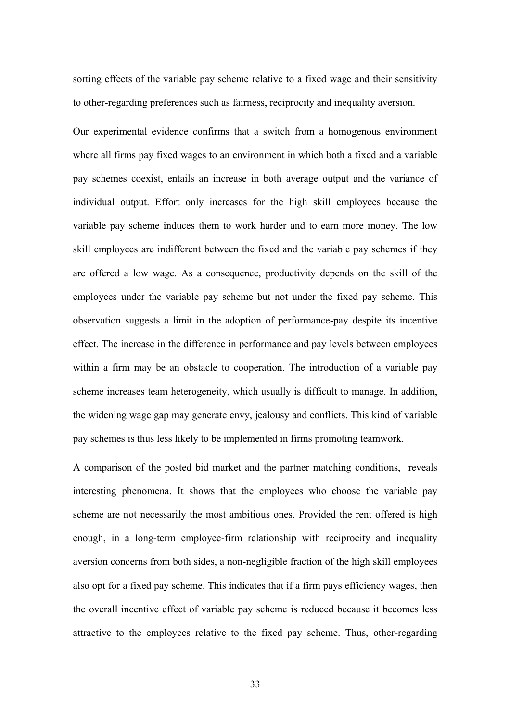sorting effects of the variable pay scheme relative to a fixed wage and their sensitivity to other-regarding preferences such as fairness, reciprocity and inequality aversion.

Our experimental evidence confirms that a switch from a homogenous environment where all firms pay fixed wages to an environment in which both a fixed and a variable pay schemes coexist, entails an increase in both average output and the variance of individual output. Effort only increases for the high skill employees because the variable pay scheme induces them to work harder and to earn more money. The low skill employees are indifferent between the fixed and the variable pay schemes if they are offered a low wage. As a consequence, productivity depends on the skill of the employees under the variable pay scheme but not under the fixed pay scheme. This observation suggests a limit in the adoption of performance-pay despite its incentive effect. The increase in the difference in performance and pay levels between employees within a firm may be an obstacle to cooperation. The introduction of a variable pay scheme increases team heterogeneity, which usually is difficult to manage. In addition, the widening wage gap may generate envy, jealousy and conflicts. This kind of variable pay schemes is thus less likely to be implemented in firms promoting teamwork.

A comparison of the posted bid market and the partner matching conditions, reveals interesting phenomena. It shows that the employees who choose the variable pay scheme are not necessarily the most ambitious ones. Provided the rent offered is high enough, in a long-term employee-firm relationship with reciprocity and inequality aversion concerns from both sides, a non-negligible fraction of the high skill employees also opt for a fixed pay scheme. This indicates that if a firm pays efficiency wages, then the overall incentive effect of variable pay scheme is reduced because it becomes less attractive to the employees relative to the fixed pay scheme. Thus, other-regarding

33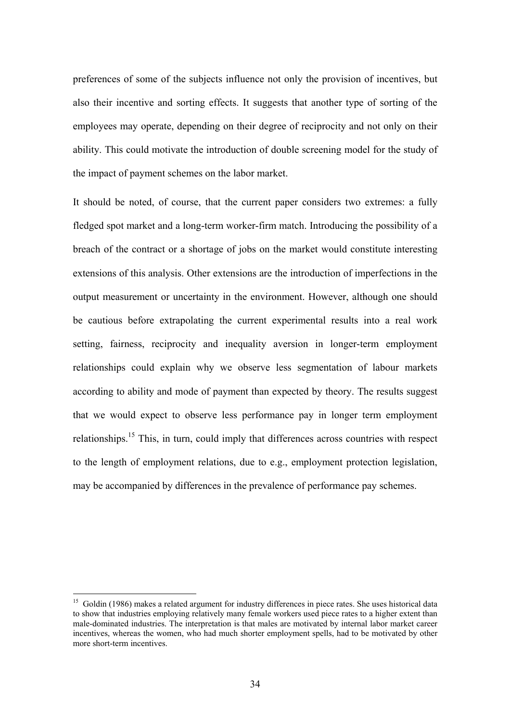preferences of some of the subjects influence not only the provision of incentives, but also their incentive and sorting effects. It suggests that another type of sorting of the employees may operate, depending on their degree of reciprocity and not only on their ability. This could motivate the introduction of double screening model for the study of the impact of payment schemes on the labor market.

It should be noted, of course, that the current paper considers two extremes: a fully fledged spot market and a long-term worker-firm match. Introducing the possibility of a breach of the contract or a shortage of jobs on the market would constitute interesting extensions of this analysis. Other extensions are the introduction of imperfections in the output measurement or uncertainty in the environment. However, although one should be cautious before extrapolating the current experimental results into a real work setting, fairness, reciprocity and inequality aversion in longer-term employment relationships could explain why we observe less segmentation of labour markets according to ability and mode of payment than expected by theory. The results suggest that we would expect to observe less performance pay in longer term employment relationships.<sup>15</sup> This, in turn, could imply that differences across countries with respect to the length of employment relations, due to e.g., employment protection legislation, may be accompanied by differences in the prevalence of performance pay schemes.

<span id="page-35-0"></span><sup>&</sup>lt;sup>15</sup> Goldin (1986) makes a related argument for industry differences in piece rates. She uses historical data to show that industries employing relatively many female workers used piece rates to a higher extent than male-dominated industries. The interpretation is that males are motivated by internal labor market career incentives, whereas the women, who had much shorter employment spells, had to be motivated by other more short-term incentives.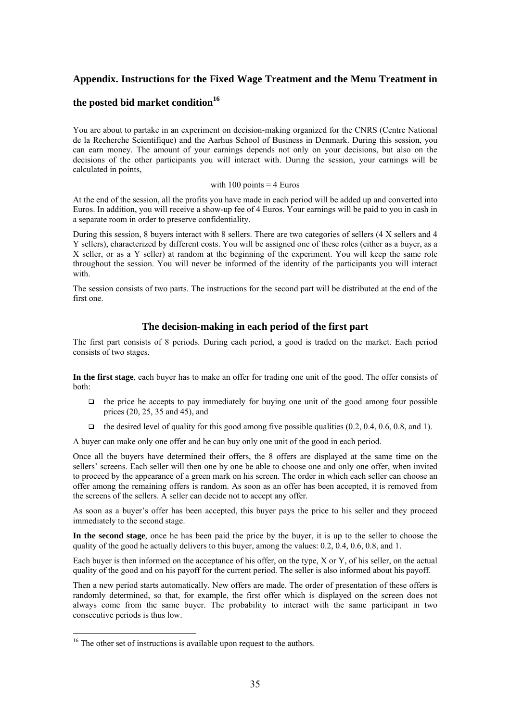#### **Appendix. Instructions for the Fixed Wage Treatment and the Menu Treatment in**

#### the posted bid market condition<sup>16</sup>

You are about to partake in an experiment on decision-making organized for the CNRS (Centre National de la Recherche Scientifique) and the Aarhus School of Business in Denmark. During this session, you can earn money. The amount of your earnings depends not only on your decisions, but also on the decisions of the other participants you will interact with. During the session, your earnings will be calculated in points,

#### with 100 points  $=$  4 Euros

At the end of the session, all the profits you have made in each period will be added up and converted into Euros. In addition, you will receive a show-up fee of 4 Euros. Your earnings will be paid to you in cash in a separate room in order to preserve confidentiality.

During this session, 8 buyers interact with 8 sellers. There are two categories of sellers (4 X sellers and 4 Y sellers), characterized by different costs. You will be assigned one of these roles (either as a buyer, as a X seller, or as a Y seller) at random at the beginning of the experiment. You will keep the same role throughout the session. You will never be informed of the identity of the participants you will interact with.

The session consists of two parts. The instructions for the second part will be distributed at the end of the first one.

#### **The decision-making in each period of the first part**

The first part consists of 8 periods. During each period, a good is traded on the market. Each period consists of two stages.

**In the first stage**, each buyer has to make an offer for trading one unit of the good. The offer consists of both:

- $\Box$  the price he accepts to pay immediately for buying one unit of the good among four possible prices (20, 25, 35 and 45), and
- $\Box$  the desired level of quality for this good among five possible qualities (0.2, 0.4, 0.6, 0.8, and 1).

A buyer can make only one offer and he can buy only one unit of the good in each period.

Once all the buyers have determined their offers, the 8 offers are displayed at the same time on the sellers' screens. Each seller will then one by one be able to choose one and only one offer, when invited to proceed by the appearance of a green mark on his screen. The order in which each seller can choose an offer among the remaining offers is random. As soon as an offer has been accepted, it is removed from the screens of the sellers. A seller can decide not to accept any offer.

As soon as a buyer's offer has been accepted, this buyer pays the price to his seller and they proceed immediately to the second stage.

**In the second stage**, once he has been paid the price by the buyer, it is up to the seller to choose the quality of the good he actually delivers to this buyer, among the values:  $0.2$ ,  $0.4$ ,  $0.6$ ,  $0.8$ , and 1.

Each buyer is then informed on the acceptance of his offer, on the type, X or Y, of his seller, on the actual quality of the good and on his payoff for the current period. The seller is also informed about his payoff.

Then a new period starts automatically. New offers are made. The order of presentation of these offers is randomly determined, so that, for example, the first offer which is displayed on the screen does not always come from the same buyer. The probability to interact with the same participant in two consecutive periods is thus low.

<span id="page-36-0"></span><sup>&</sup>lt;sup>16</sup> The other set of instructions is available upon request to the authors.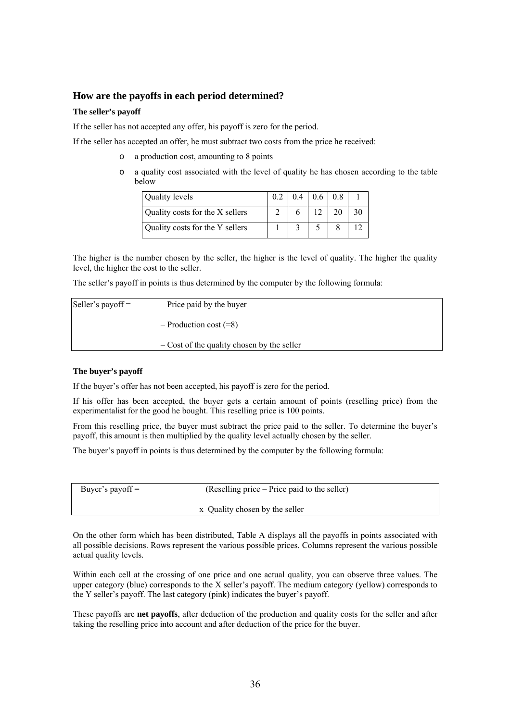#### **How are the payoffs in each period determined?**

#### **The seller's payoff**

If the seller has not accepted any offer, his payoff is zero for the period.

If the seller has accepted an offer, he must subtract two costs from the price he received:

- o a production cost, amounting to 8 points
- o a quality cost associated with the level of quality he has chosen according to the table below

| Quality levels                  |  | $0.4$   0.6   0.8 |    |
|---------------------------------|--|-------------------|----|
| Quality costs for the X sellers |  |                   | 30 |
| Quality costs for the Y sellers |  |                   |    |

The higher is the number chosen by the seller, the higher is the level of quality. The higher the quality level, the higher the cost to the seller.

The seller's payoff in points is thus determined by the computer by the following formula:

| Seller's payoff $=$ | Price paid by the buyer                    |  |
|---------------------|--------------------------------------------|--|
|                     | $-$ Production cost $(=8)$                 |  |
|                     | - Cost of the quality chosen by the seller |  |

#### **The buyer's payoff**

If the buyer's offer has not been accepted, his payoff is zero for the period.

If his offer has been accepted, the buyer gets a certain amount of points (reselling price) from the experimentalist for the good he bought. This reselling price is 100 points.

From this reselling price, the buyer must subtract the price paid to the seller. To determine the buyer's payoff, this amount is then multiplied by the quality level actually chosen by the seller.

The buyer's payoff in points is thus determined by the computer by the following formula:

| Buyer's payoff $=$ | (Reselling price – Price paid to the seller) |
|--------------------|----------------------------------------------|
|                    | x Quality chosen by the seller               |

On the other form which has been distributed, Table A displays all the payoffs in points associated with all possible decisions. Rows represent the various possible prices. Columns represent the various possible actual quality levels.

Within each cell at the crossing of one price and one actual quality, you can observe three values. The upper category (blue) corresponds to the X seller's payoff. The medium category (yellow) corresponds to the Y seller's payoff. The last category (pink) indicates the buyer's payoff.

These payoffs are **net payoffs**, after deduction of the production and quality costs for the seller and after taking the reselling price into account and after deduction of the price for the buyer.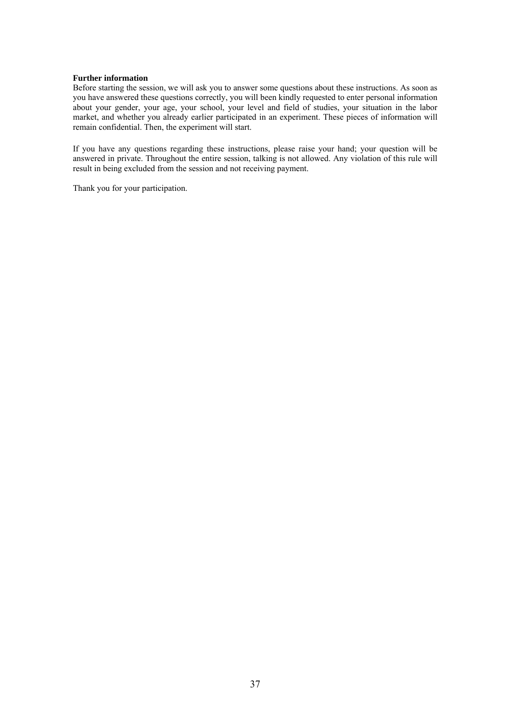#### **Further information**

Before starting the session, we will ask you to answer some questions about these instructions. As soon as you have answered these questions correctly, you will been kindly requested to enter personal information about your gender, your age, your school, your level and field of studies, your situation in the labor market, and whether you already earlier participated in an experiment. These pieces of information will remain confidential. Then, the experiment will start.

If you have any questions regarding these instructions, please raise your hand; your question will be answered in private. Throughout the entire session, talking is not allowed. Any violation of this rule will result in being excluded from the session and not receiving payment.

Thank you for your participation.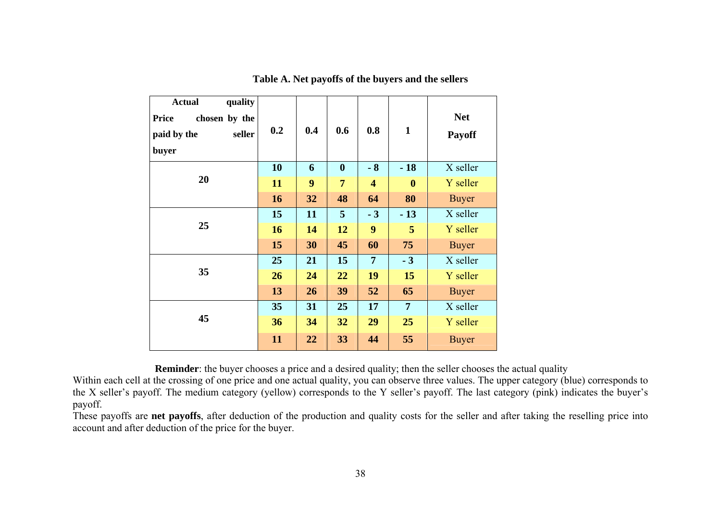| <b>Actual</b><br>quality<br>chosen by the<br><b>Price</b><br>paid by the<br>seller<br>buyer | 0.2       | 0.4 | 0.6              | 0.8                     | $\mathbf{1}$     | <b>Net</b><br><b>Payoff</b> |
|---------------------------------------------------------------------------------------------|-----------|-----|------------------|-------------------------|------------------|-----------------------------|
|                                                                                             | 10        | 6   | $\boldsymbol{0}$ | $-8$                    | $-18$            | X seller                    |
| 20                                                                                          | 11        | 9   | 7                | $\overline{\mathbf{4}}$ | $\boldsymbol{0}$ | Y seller                    |
|                                                                                             | 16        | 32  | 48               | 64                      | 80               | <b>Buyer</b>                |
|                                                                                             | 15        | 11  | 5                | $-3$                    | $-13$            | X seller                    |
| 25                                                                                          | <b>16</b> | 14  | 12               | 9                       | 5                | Y seller                    |
|                                                                                             | 15        | 30  | 45               | 60                      | 75               | <b>Buyer</b>                |
|                                                                                             | 25        | 21  | 15               | $\overline{7}$          | $-3$             | X seller                    |
| 35                                                                                          | 26        | 24  | 22               | 19                      | 15               | Y seller                    |
|                                                                                             | 13        | 26  | 39               | 52                      | 65               | <b>Buyer</b>                |
|                                                                                             | 35        | 31  | 25               | 17                      | $\overline{7}$   | X seller                    |
| 45                                                                                          | 36        | 34  | 32               | 29                      | 25               | Y seller                    |
|                                                                                             | 11        | 22  | 33               | 44                      | 55               | <b>Buyer</b>                |

#### **Table A. Net payoffs of the buyers and the sellers**

**Reminder**: the buyer chooses a price and a desired quality; then the seller chooses the actual quality

Within each cell at the crossing of one price and one actual quality, you can observe three values. The upper category (blue) corresponds to the X seller's payoff. The medium category (yellow) corresponds to the Y seller's payoff. The last category (pink) indicates the buyer's payoff.

These payoffs are **net payoffs**, after deduction of the production and quality costs for the seller and after taking the reselling price into account and after deduction of the price for the buyer.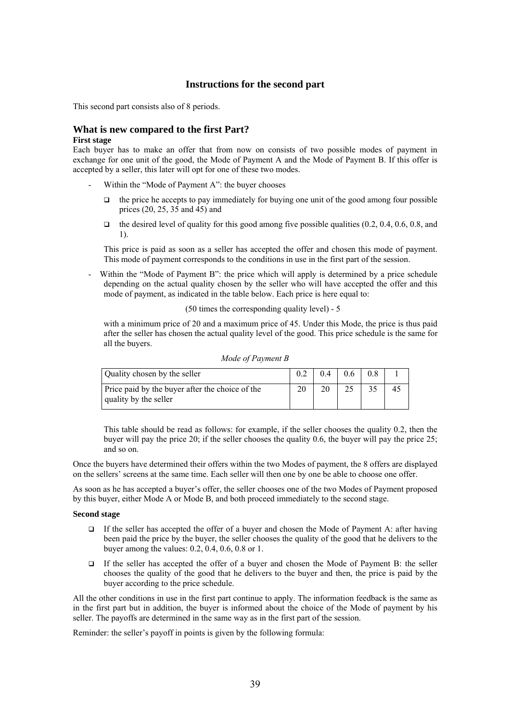#### **Instructions for the second part**

This second part consists also of 8 periods.

#### **What is new compared to the first Part?**

#### **First stage**

Each buyer has to make an offer that from now on consists of two possible modes of payment in exchange for one unit of the good, the Mode of Payment A and the Mode of Payment B. If this offer is accepted by a seller, this later will opt for one of these two modes.

- Within the "Mode of Payment A": the buyer chooses
	- $\Box$  the price he accepts to pay immediately for buying one unit of the good among four possible prices (20, 25, 35 and 45) and
	- $\Box$  the desired level of quality for this good among five possible qualities (0.2, 0.4, 0.6, 0.8, and 1).

This price is paid as soon as a seller has accepted the offer and chosen this mode of payment. This mode of payment corresponds to the conditions in use in the first part of the session.

Within the "Mode of Payment B": the price which will apply is determined by a price schedule depending on the actual quality chosen by the seller who will have accepted the offer and this mode of payment, as indicated in the table below. Each price is here equal to:

(50 times the corresponding quality level) - 5

with a minimum price of 20 and a maximum price of 45. Under this Mode, the price is thus paid after the seller has chosen the actual quality level of the good. This price schedule is the same for all the buyers.

| Mode of Payment B |
|-------------------|
|-------------------|

| Quality chosen by the seller                                             | 04 | 0.6 | 0.8 |    |
|--------------------------------------------------------------------------|----|-----|-----|----|
| Price paid by the buyer after the choice of the<br>quality by the seller |    |     |     | 43 |

This table should be read as follows: for example, if the seller chooses the quality 0.2, then the buyer will pay the price 20; if the seller chooses the quality 0.6, the buyer will pay the price 25; and so on.

Once the buyers have determined their offers within the two Modes of payment, the 8 offers are displayed on the sellers' screens at the same time. Each seller will then one by one be able to choose one offer.

As soon as he has accepted a buyer's offer, the seller chooses one of the two Modes of Payment proposed by this buyer, either Mode A or Mode B, and both proceed immediately to the second stage.

#### **Second stage**

- If the seller has accepted the offer of a buyer and chosen the Mode of Payment A: after having been paid the price by the buyer, the seller chooses the quality of the good that he delivers to the buyer among the values: 0.2, 0.4, 0.6, 0.8 or 1.
- $\Box$  If the seller has accepted the offer of a buyer and chosen the Mode of Payment B: the seller chooses the quality of the good that he delivers to the buyer and then, the price is paid by the buyer according to the price schedule.

All the other conditions in use in the first part continue to apply. The information feedback is the same as in the first part but in addition, the buyer is informed about the choice of the Mode of payment by his seller. The payoffs are determined in the same way as in the first part of the session.

Reminder: the seller's payoff in points is given by the following formula: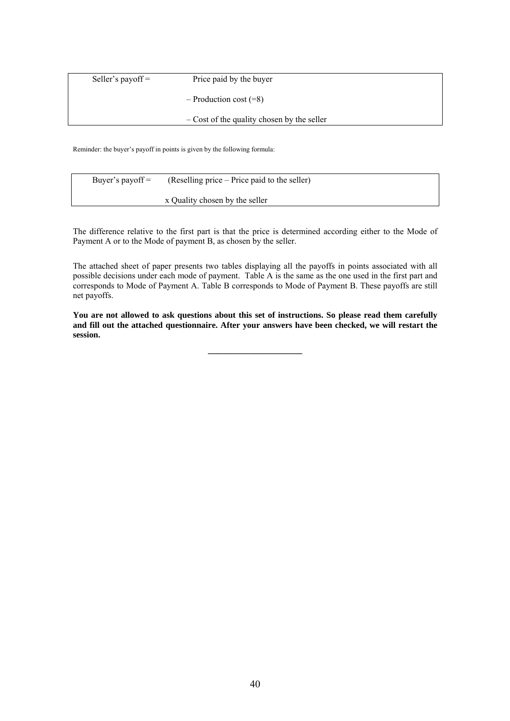| Seller's payoff $=$ | Price paid by the buyer                      |
|---------------------|----------------------------------------------|
|                     | $-$ Production cost $(=8)$                   |
|                     | $-$ Cost of the quality chosen by the seller |

Reminder: the buyer's payoff in points is given by the following formula:

| Buyer's payoff $=$ | (Reselling price – Price paid to the seller) |
|--------------------|----------------------------------------------|
|                    | x Quality chosen by the seller               |

The difference relative to the first part is that the price is determined according either to the Mode of Payment A or to the Mode of payment B, as chosen by the seller.

The attached sheet of paper presents two tables displaying all the payoffs in points associated with all possible decisions under each mode of payment. Table A is the same as the one used in the first part and corresponds to Mode of Payment A. Table B corresponds to Mode of Payment B. These payoffs are still net payoffs.

**You are not allowed to ask questions about this set of instructions. So please read them carefully and fill out the attached questionnaire. After your answers have been checked, we will restart the session.**

**\_\_\_\_\_\_\_\_\_\_\_\_\_\_\_\_\_\_\_\_\_\_**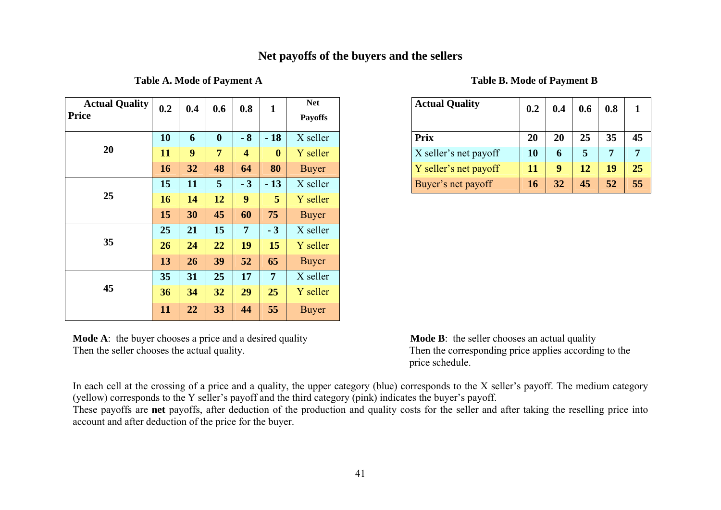### **Net payoffs of the buyers and the sellers**

Table A. Mode of Payment A

| <b>Actual Quality</b><br><b>Price</b> | 0.2 | 0.4 | 0.6            | 0.8            | 1                | <b>Net</b><br><b>Payoffs</b> | <b>Actual Quality</b> | 0.2 | 0.4 | 0.6 | 0.8            |
|---------------------------------------|-----|-----|----------------|----------------|------------------|------------------------------|-----------------------|-----|-----|-----|----------------|
| 20                                    | 10  | 6   | $\mathbf{0}$   | $-8$           | $-18$            | X seller                     | <b>Prix</b>           | 20  | 20  | 25  | 35             |
|                                       | 11  | 9   | $\overline{7}$ | 4              | $\boldsymbol{0}$ | Y seller                     | X seller's net payoff | 10  | 6   | 5   | $\overline{7}$ |
|                                       | 16  | 32  | 48             | 64             | 80               | <b>Buyer</b>                 | Y seller's net payoff | 11  | 9   | 12  | 19             |
| 25                                    | 15  | 11  | 5              | $-3$           | $-13$            | X seller                     | Buyer's net payoff    | 16  | 32  | 45  | 52             |
|                                       | 16  | 14  | 12             | 9              | 5                | Y seller                     |                       |     |     |     |                |
|                                       | 15  | 30  | 45             | 60             | 75               | <b>Buyer</b>                 |                       |     |     |     |                |
| 35                                    | 25  | 21  | 15             | $\overline{7}$ | $-3$             | X seller                     |                       |     |     |     |                |
|                                       | 26  | 24  | 22             | 19             | 15               | Y seller                     |                       |     |     |     |                |
|                                       | 13  | 26  | 39             | 52             | 65               | <b>Buyer</b>                 |                       |     |     |     |                |
| 45                                    | 35  | 31  | 25             | 17             | 7 <sup>1</sup>   | X seller                     |                       |     |     |     |                |
|                                       | 36  | 34  | 32             | 29             | 25               | Y seller                     |                       |     |     |     |                |
|                                       | 11  | 22  | 33             | 44             | 55               | <b>Buyer</b>                 |                       |     |     |     |                |

**Mode A:** the buyer chooses a price and a desired quality **Mode B:** the seller chooses an actual quality Then the seller chooses the actual quality. Then the corresponding price applies according to the

|  |  | <b>Table B. Mode of Payment B</b> |
|--|--|-----------------------------------|
|--|--|-----------------------------------|

| 0.2 | 0.4 | 0.6              | 0.8  |                  | <b>Net</b><br><b>Payoffs</b> | <b>Actual Quality</b> | 0.2 | 0.4             | 0.6 | 0.8 |    |
|-----|-----|------------------|------|------------------|------------------------------|-----------------------|-----|-----------------|-----|-----|----|
| 10  | 6   | $\boldsymbol{0}$ | $-8$ | $-18$            | X seller                     | <b>Prix</b>           | 20  | 20              | 25  | 35  | 45 |
| 11  | 9   | 7                | 4    | $\boldsymbol{0}$ | Y seller                     | X seller's net payoff | 10  | 6               |     |     |    |
| 16  | 32  | 48               | 64   | 80               | <b>Buyer</b>                 | Y seller's net payoff | 11  | 9               | 12  | 19  | 25 |
| 15  | 11  | 5                | $-3$ | $-13$            | X seller                     | Buyer's net payoff    | 16  | $\overline{32}$ | 45  | 52  | 55 |

price schedule.

In each cell at the crossing of a price and a quality, the upper category (blue) corresponds to the X seller's payoff. The medium category (yellow) corresponds to the Y seller's payoff and the third category (pink) indicates the buyer's payoff.

These payoffs are **net** payoffs, after deduction of the production and quality costs for the seller and after taking the reselling price into account and after deduction of the price for the buyer.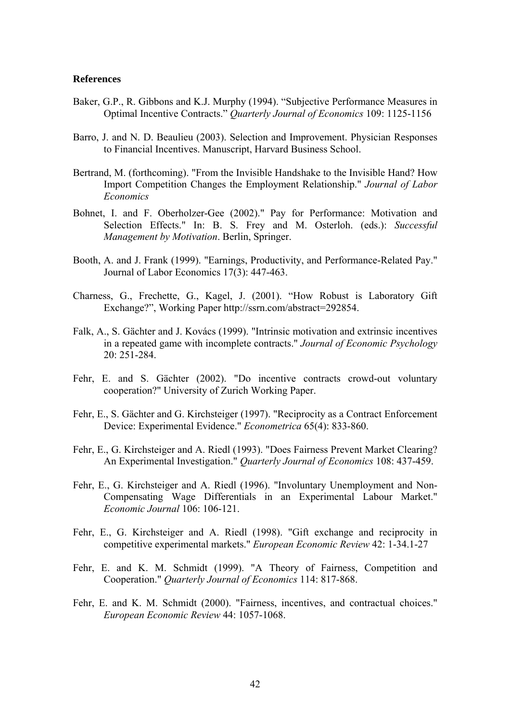#### **References**

- Baker, G.P., R. Gibbons and K.J. Murphy (1994). "Subjective Performance Measures in Optimal Incentive Contracts." *Quarterly Journal of Economics* 109: 1125-1156
- Barro, J. and N. D. Beaulieu (2003). Selection and Improvement. Physician Responses to Financial Incentives. Manuscript, Harvard Business School.
- Bertrand, M. (forthcoming). "From the Invisible Handshake to the Invisible Hand? How Import Competition Changes the Employment Relationship." *Journal of Labor Economics*
- Bohnet, I. and F. Oberholzer-Gee (2002)." Pay for Performance: Motivation and Selection Effects." In: B. S. Frey and M. Osterloh. (eds.): *Successful Management by Motivation*. Berlin, Springer.
- Booth, A. and J. Frank (1999). "Earnings, Productivity, and Performance-Related Pay." Journal of Labor Economics 17(3): 447-463.
- Charness, G., Frechette, G., Kagel, J. (2001). "How Robust is Laboratory Gift Exchange?", Working Paper<http://ssrn.com/abstract=292854>.
- Falk, A., S. Gächter and J. Kovács (1999). "Intrinsic motivation and extrinsic incentives in a repeated game with incomplete contracts." *Journal of Economic Psychology* 20: 251-284.
- Fehr, E. and S. Gächter (2002). "Do incentive contracts crowd-out voluntary cooperation?" University of Zurich Working Paper.
- Fehr, E., S. Gächter and G. Kirchsteiger (1997). "Reciprocity as a Contract Enforcement Device: Experimental Evidence." *Econometrica* 65(4): 833-860.
- Fehr, E., G. Kirchsteiger and A. Riedl (1993). "Does Fairness Prevent Market Clearing? An Experimental Investigation." *Quarterly Journal of Economics* 108: 437-459.
- Fehr, E., G. Kirchsteiger and A. Riedl (1996). "Involuntary Unemployment and Non-Compensating Wage Differentials in an Experimental Labour Market." *Economic Journal* 106: 106-121.
- Fehr, E., G. Kirchsteiger and A. Riedl (1998). "Gift exchange and reciprocity in competitive experimental markets." *European Economic Review* 42: 1-34.1-27
- Fehr, E. and K. M. Schmidt (1999). "A Theory of Fairness, Competition and Cooperation." *Quarterly Journal of Economics* 114: 817-868.
- Fehr, E. and K. M. Schmidt (2000). "Fairness, incentives, and contractual choices." *European Economic Review* 44: 1057-1068.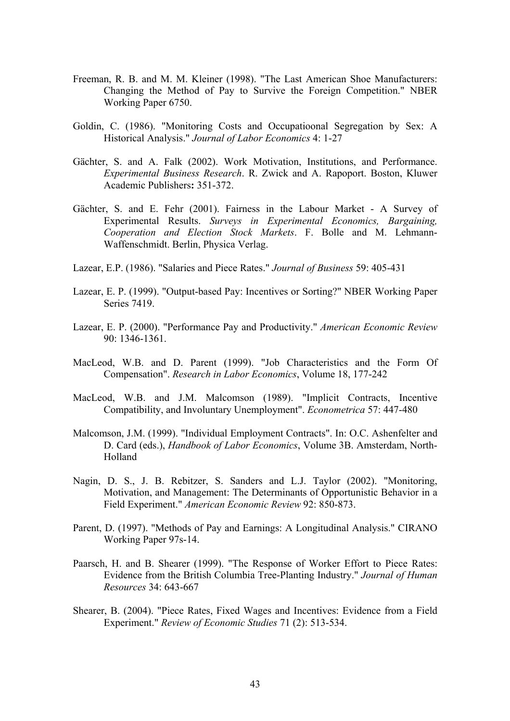- Freeman, R. B. and M. M. Kleiner (1998). "The Last American Shoe Manufacturers: Changing the Method of Pay to Survive the Foreign Competition." NBER Working Paper 6750.
- Goldin, C. (1986). "Monitoring Costs and Occupatioonal Segregation by Sex: A Historical Analysis." *Journal of Labor Economics* 4: 1-27
- Gächter, S. and A. Falk (2002). Work Motivation, Institutions, and Performance. *Experimental Business Research*. R. Zwick and A. Rapoport. Boston, Kluwer Academic Publishers**:** 351-372.
- Gächter, S. and E. Fehr (2001). Fairness in the Labour Market A Survey of Experimental Results. *Surveys in Experimental Economics, Bargaining, Cooperation and Election Stock Markets*. F. Bolle and M. Lehmann-Waffenschmidt. Berlin, Physica Verlag.
- Lazear, E.P. (1986). "Salaries and Piece Rates." *Journal of Business* 59: 405-431
- Lazear, E. P. (1999). "Output-based Pay: Incentives or Sorting?" NBER Working Paper Series 7419.
- Lazear, E. P. (2000). "Performance Pay and Productivity." *American Economic Review*  90: 1346-1361.
- MacLeod, W.B. and D. Parent (1999). "Job Characteristics and the Form Of Compensation". *Research in Labor Economics*, Volume 18, 177-242
- MacLeod, W.B. and J.M. Malcomson (1989). "Implicit Contracts, Incentive Compatibility, and Involuntary Unemployment". *Econometrica* 57: 447-480
- Malcomson, J.M. (1999). "Individual Employment Contracts". In: O.C. Ashenfelter and D. Card (eds.), *Handbook of Labor Economics*, Volume 3B. Amsterdam, North-Holland
- Nagin, D. S., J. B. Rebitzer, S. Sanders and L.J. Taylor (2002). "Monitoring, Motivation, and Management: The Determinants of Opportunistic Behavior in a Field Experiment." *American Economic Review* 92: 850-873.
- Parent, D. (1997). "Methods of Pay and Earnings: A Longitudinal Analysis." CIRANO Working Paper 97s-14.
- Paarsch, H. and B. Shearer (1999). "The Response of Worker Effort to Piece Rates: Evidence from the British Columbia Tree-Planting Industry." *Journal of Human Resources* 34: 643-667
- Shearer, B. (2004). "Piece Rates, Fixed Wages and Incentives: Evidence from a Field Experiment." *Review of Economic Studies* 71 (2): 513-534.